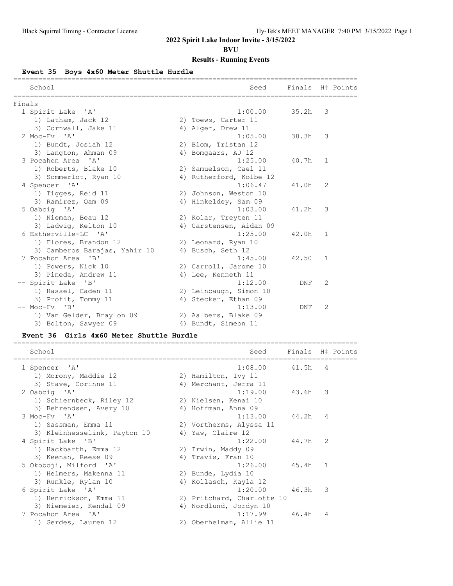**BVU**

## **Results - Running Events**

**Event 35 Boys 4x60 Meter Shuttle Hurdle**

|        | School                        | Seed                    | Finals H# Points |              |  |
|--------|-------------------------------|-------------------------|------------------|--------------|--|
| Finals |                               |                         |                  |              |  |
|        | 1 Spirit Lake 'A'             | 1:00.00                 | 35.2h            | 3            |  |
|        | 1) Latham, Jack 12            | 2) Toews, Carter 11     |                  |              |  |
|        | 3) Cornwall, Jake 11          | 4) Alger, Drew 11       |                  |              |  |
|        | $2$ Moc-Fy $'A'$              | 1:05.00                 | 38.3h            | 3            |  |
|        | 1) Bundt, Josiah 12           | 2) Blom, Tristan 12     |                  |              |  |
|        | 3) Langton, Ahman 09          | 4) Bomgaars, AJ 12      |                  |              |  |
|        | 3 Pocahon Area 'A'            | 1:25.00                 | 40.7h            | 1            |  |
|        | 1) Roberts, Blake 10          | 2) Samuelson, Cael 11   |                  |              |  |
|        | 3) Sommerlot, Ryan 10         | 4) Rutherford, Kolbe 12 |                  |              |  |
|        | 4 Spencer 'A'                 | 1:06.47                 | 41.0h            | 2            |  |
|        | 1) Tigges, Reid 11            | 2) Johnson, Weston 10   |                  |              |  |
|        | 3) Ramirez, Oam 09            | 4) Hinkeldey, Sam 09    |                  |              |  |
|        | 5 Oabcig 'A'                  | 1:03.00                 | 41.2h            | 3            |  |
|        | 1) Nieman, Beau 12            | 2) Kolar, Treyten 11    |                  |              |  |
|        | 3) Ladwig, Kelton 10          | 4) Carstensen, Aidan 09 |                  |              |  |
|        | 6 Estherville-LC 'A'          | 1:25.00                 | 42.0h            | 1            |  |
|        | 1) Flores, Brandon 12         | 2) Leonard, Ryan 10     |                  |              |  |
|        | 3) Camberos Barajas, Yahir 10 | 4) Busch, Seth 12       |                  |              |  |
|        | 7 Pocahon Area 'B'            | 1:45.00                 | 42.50            | $\mathbf{1}$ |  |
|        | 1) Powers, Nick 10            | 2) Carroll, Jarome 10   |                  |              |  |
|        | 3) Pineda, Andrew 11          | 4) Lee, Kenneth 11      |                  |              |  |
|        | -- Spirit Lake 'B'            | 1:12.00                 | <b>DNF</b>       | 2            |  |
|        | 1) Hassel, Caden 11           | 2) Leinbaugh, Simon 10  |                  |              |  |
|        | 3) Profit, Tommy 11           | 4) Stecker, Ethan 09    |                  |              |  |
|        | $--$ Moc-Fv $'B'$             | 1:13.00                 | DNF              | 2            |  |
|        | 1) Van Gelder, Braylon 09     | 2) Aalbers, Blake 09    |                  |              |  |
|        | 3) Bolton, Sawyer 09          | 4) Bundt, Simeon 11     |                  |              |  |

### **Event 36 Girls 4x60 Meter Shuttle Hurdle**

| School                       | Seed                       | Finals H# Points |              |  |
|------------------------------|----------------------------|------------------|--------------|--|
| 1 Spencer 'A'                | 1:08.00                    | 41.5h            | 4            |  |
| 1) Morony, Maddie 12         | 2) Hamilton, Ivy 11        |                  |              |  |
| 3) Stave, Corinne 11         | 4) Merchant, Jerra 11      |                  |              |  |
| 2 Oabcig 'A'                 | 1:19.00                    | 43.6h            | 3            |  |
| 1) Schiernbeck, Riley 12     | 2) Nielsen, Kenai 10       |                  |              |  |
| 3) Behrendsen, Avery 10      | 4) Hoffman, Anna 09        |                  |              |  |
| $3$ Moc-Fy $'A'$             | 1:13.00                    | 44.2h            | 4            |  |
| 1) Sassman, Emma 11          | 2) Vortherms, Alyssa 11    |                  |              |  |
| 3) Kleinhesselink, Payton 10 | 4) Yaw, Claire 12          |                  |              |  |
| 4 Spirit Lake 'B'            | 1:22.00                    | 44.7h            | 2            |  |
| 1) Hackbarth, Emma 12        | 2) Irwin, Maddy 09         |                  |              |  |
| 3) Keenan, Reese 09          | 4) Travis, Fran 10         |                  |              |  |
| 5 Okoboji, Milford 'A'       | 1:26.00                    | 45.4h            | $\mathbf{1}$ |  |
| 1) Helmers, Makenna 11       | 2) Bunde, Lydia 10         |                  |              |  |
| 3) Runkle, Rylan 10          | 4) Kollasch, Kayla 12      |                  |              |  |
| 6 Spirit Lake 'A'            | 1:20.00                    | 46.3h            | 3            |  |
| 1) Henrickson, Emma 11       | 2) Pritchard, Charlotte 10 |                  |              |  |
| 3) Niemeier, Kendal 09       | 4) Nordlund, Jordyn 10     |                  |              |  |
| 7 Pocahon Area 'A'           | 1:17.99                    | 46.4h            | 4            |  |
| 1) Gerdes, Lauren 12         | 2) Oberhelman, Allie 11    |                  |              |  |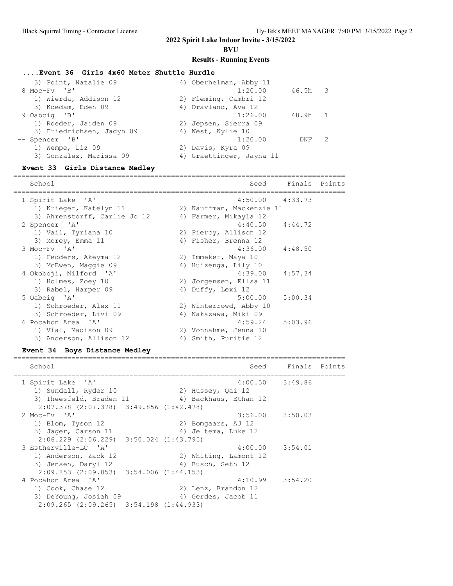### **BVU**

## **Results - Running Events**

## **....Event 36 Girls 4x60 Meter Shuttle Hurdle**

| 3) Point, Natalie 09      | 4) Oberhelman, Abby 11   |
|---------------------------|--------------------------|
| 8 Moc-Fv 'B'              | 1:20.00<br>46.5h 3       |
| 1) Wierda, Addison 12     | 2) Fleming, Cambri 12    |
| 3) Koedam, Eden 09        | 4) Dravland, Ava 12      |
| 9 Oabcig 'B'              | 48.9h 1<br>1:26.00       |
| 1) Roeder, Jaiden 09      | 2) Jepsen, Sierra 09     |
| 3) Friedrichsen, Jadyn 09 | 4) West, Kylie 10        |
| -- Spencer 'B'            | 1:20.00<br>-2<br>DNF     |
| 1) Wempe, Liz 09          | 2) Davis, Kyra 09        |
| 3) Gonzalez, Marissa 09   | 4) Graettinger, Jayna 11 |

### **Event 33 Girls Distance Medley**

| School                       |    | Seed                      | Finals Points       |  |
|------------------------------|----|---------------------------|---------------------|--|
| 1 Spirit Lake 'A'            |    |                           | $4:50.00$ $4:33.73$ |  |
| 1) Krieger, Katelyn 11       |    | 2) Kauffman, Mackenzie 11 |                     |  |
| 3) Ahrenstorff, Carlie Jo 12 |    | 4) Farmer, Mikayla 12     |                     |  |
| 2 Spencer 'A'                |    |                           | $4:40.50$ $4:44.72$ |  |
| 1) Vail, Tyriana 10          |    | 2) Piercy, Allison 12     |                     |  |
| 3) Morey, Emma 11            |    | 4) Fisher, Brenna 12      |                     |  |
| 3 Moc-Fy 'A'                 |    |                           | $4:36.00$ $4:48.50$ |  |
| 1) Fedders, Akeyma 12        |    | 2) Immeker, Maya 10       |                     |  |
| 3) McEwen, Maggie 09         | 4) | Huizenga, Lily 10         |                     |  |
| 4 Okoboji, Milford 'A'       |    |                           | $4:39.00$ $4:57.34$ |  |
| 1) Holmes, Zoey 10           |    | 2) Jorgensen, Ellsa 11    |                     |  |
| 3) Rabel, Harper 09          |    | 4) Duffy, Lexi 12         |                     |  |
| 5 Oabcig 'A'                 |    | 5:00.00                   | 5:00.34             |  |
| 1) Schroeder, Alex 11        |    | 2) Winterrowd, Abby 10    |                     |  |
| 3) Schroeder, Livi 09        |    | 4) Nakazawa, Miki 09      |                     |  |
| 6 Pocahon Area 'A'           |    | 4:59.24                   | 5:03.96             |  |
| 1) Vial, Madison 09          |    | 2) Vonnahme, Jenna 10     |                     |  |
| 3) Anderson, Allison 12      | 4) | Smith, Puritie 12         |                     |  |

## **Event 34 Boys Distance Medley**

| School                                          | Seed                  | Finals Points |  |
|-------------------------------------------------|-----------------------|---------------|--|
| 1 Spirit Lake 'A'                               | $4:00.50$ $3:49.86$   |               |  |
| 1) Sundall, Ryder 10                            | 2) Hussey, Qai 12     |               |  |
| 3) Theesfeld, Braden 11                         | 4) Backhaus, Ethan 12 |               |  |
| $2:07.378$ $(2:07.378)$ $3:49.856$ $(1:42.478)$ |                       |               |  |
| 2 Moc-Fy 'A'                                    | $3:56.00$ $3:50.03$   |               |  |
| 1) Blom, Tyson 12                               | 2) Bomgaars, AJ 12    |               |  |
| 3) Jager, Carson 11                             | 4) Jeltema, Luke 12   |               |  |
| $2:06.229$ $(2:06.229)$ $3:50.024$ $(1:43.795)$ |                       |               |  |
| 3 Estherville-LC 'A'                            | $4:00.00$ $3:54.01$   |               |  |
| 1) Anderson, Zack 12                            | 2) Whiting, Lamont 12 |               |  |
| 3) Jensen, Daryl 12                             | 4) Busch, Seth 12     |               |  |
| $2:09.853$ $(2:09.853)$ $3:54.006$ $(1:44.153)$ |                       |               |  |
| 4 Pocahon Area 'A'                              | $4:10.99$ $3:54.20$   |               |  |
| 1) Cook, Chase 12                               | 2) Lenz, Brandon 12   |               |  |
| 3) DeYoung, Josiah 09                           | 4) Gerdes, Jacob 11   |               |  |
| $2:09.265$ $(2:09.265)$ $3:54.198$ $(1:44.933)$ |                       |               |  |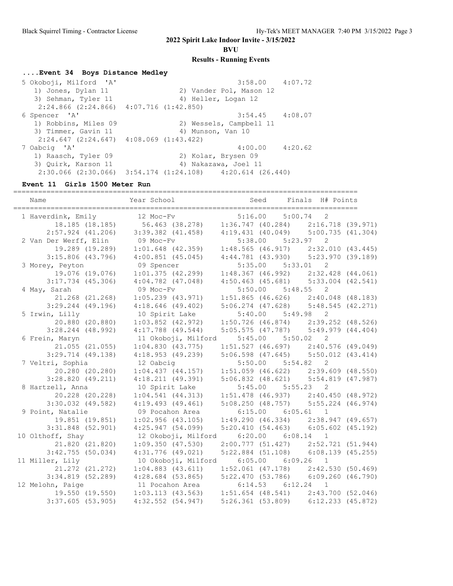**BVU**

#### **Results - Running Events**

### **....Event 34 Boys Distance Medley**

 5 Okoboji, Milford 'A' 3:58.00 4:07.72 1) Jones, Dylan 11 2) Vander Pol, Mason 12 3) Sehman, Tyler 11 (4) Heller, Logan 12 2:24.866 (2:24.866) 4:07.716 (1:42.850) 6 Spencer 'A' 3:54.45 4:08.07 1) Robbins, Miles 09 2) Wessels, Campbell 11 3) Timmer, Gavin 11 4) Munson, Van 10  $2:24.647$  (2:24.647)  $4:08.069$  (1:43.422)<br>7 Oabcig 'A'  $4:00.00$   $4:20.62$  1) Raasch, Tyler 09 2) Kolar, Brysen 09 3) Quirk, Karson 11 (4) Nakazawa, Joel 11 2:30.066 (2:30.066) 3:54.174 (1:24.108) 4:20.614 (26.440)

### **Event 11 Girls 1500 Meter Run**

=================================================================================== Name  $Year School$  Seed Finals H# Points =================================================================================== 1 Haverdink, Emily 12 Moc-Fv 5:16.00 5:00.74 2 18.185 (18.185) 56.463 (38.278) 1:36.747 (40.284) 2:16.718 (39.971) 2:57.924 (41.206) 3:39.382 (41.458) 4:19.431 (40.049) 5:00.735 (41.304) 2 Van Der Werff, Elin 09 Moc-Fv 5:38.00 5:23.97 2 19.289 (19.289) 1:01.648 (42.359) 1:48.565 (46.917) 2:32.010 (43.445) 3:15.806 (43.796) 4:00.851 (45.045) 4:44.781 (43.930) 5:23.970 (39.189) 3 Morey, Peyton 09 Spencer 5:35.00 5:33.01 2 19.076 (19.076) 1:01.375 (42.299) 1:48.367 (46.992) 2:32.428 (44.061) 3:17.734 (45.306) 4:04.782 (47.048) 4:50.463 (45.681) 5:33.004 (42.541) 4 May, Sarah 09 Moc-Fv 5:50.00 5:48.55 2 21.268 (21.268) 1:05.239 (43.971) 1:51.865 (46.626) 2:40.048 (48.183) 3:29.244 (49.196) 4:18.646 (49.402) 5:06.274 (47.628) 5:48.545 (42.271) 5 Irwin, Lilly 10 Spirit Lake 5:40.00 5:49.98 2 20.880 (20.880) 1:03.852 (42.972) 1:50.726 (46.874) 2:39.252 (48.526) 3:28.244 (48.992) 4:17.788 (49.544) 5:05.575 (47.787) 5:49.979 (44.404) 6 Frein, Maryn 11 Okoboji, Milford 5:45.00 5:50.02 2 21.055 (21.055) 1:04.830 (43.775) 1:51.527 (46.697) 2:40.576 (49.049) 3:29.714 (49.138) 4:18.953 (49.239) 5:06.598 (47.645) 5:50.012 (43.414) 7 Veltri, Sophia 12 Oabcig 5:50.00 5:54.82 2 20.280 (20.280) 1:04.437 (44.157) 1:51.059 (46.622) 2:39.609 (48.550) 3:28.820 (49.211) 4:18.211 (49.391) 5:06.832 (48.621) 5:54.819 (47.987) 8 Hartzell, Anna 10 Spirit Lake 5:45.00 5:55.23 2 20.228 (20.228) 1:04.541 (44.313) 1:51.478 (46.937) 2:40.450 (48.972) 3:30.032 (49.582) 4:19.493 (49.461) 5:08.250 (48.757) 5:55.224 (46.974) 9 Point, Natalie 09 Pocahon Area 6:15.00 6:05.61 1 19.851 (19.851) 1:02.956 (43.105) 1:49.290 (46.334) 2:38.947 (49.657) 3:31.848 (52.901) 4:25.947 (54.099) 5:20.410 (54.463) 6:05.602 (45.192) 10 Olthoff, Shay 12 Okoboji, Milford 6:20.00 6:08.14 1 21.820 (21.820) 1:09.350 (47.530) 2:00.777 (51.427) 2:52.721 (51.944) 3:42.755 (50.034) 4:31.776 (49.021) 5:22.884 (51.108) 6:08.139 (45.255) 11 Miller, Lily 10 Okoboji, Milford 6:05.00 6:09.26 1 21.272 (21.272) 1:04.883 (43.611) 1:52.061 (47.178) 2:42.530 (50.469) 3:34.819 (52.289) 4:28.684 (53.865) 5:22.470 (53.786) 6:09.260 (46.790) 12 Melohn, Paige 11 Pocahon Area 6:14.53 6:12.24 1 19.550 (19.550) 1:03.113 (43.563) 1:51.654 (48.541) 2:43.700 (52.046) 3:37.605 (53.905) 4:32.552 (54.947) 5:26.361 (53.809) 6:12.233 (45.872)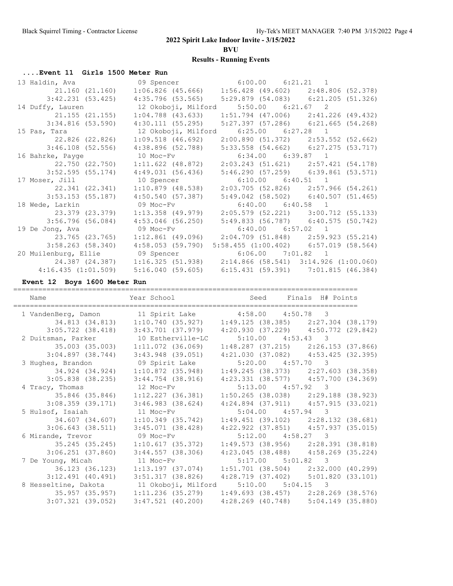**BVU**

## **Results - Running Events**

## **....Event 11 Girls 1500 Meter Run**

| 13 Haldin, Ava (9 Spencer 6:00.00 6:21.21 1                     |                                                                         |                                         |  |
|-----------------------------------------------------------------|-------------------------------------------------------------------------|-----------------------------------------|--|
|                                                                 | 21.160 (21.160) 1:06.826 (45.666) 1:56.428 (49.602) 2:48.806 (52.378)   |                                         |  |
|                                                                 | 3:42.231 (53.425) 4:35.796 (53.565) 5:29.879 (54.083) 6:21.205 (51.326) |                                         |  |
|                                                                 |                                                                         |                                         |  |
| 21.155 (21.155)                                                 | $1:04.788$ (43.633)                                                     | $1:51.794$ (47.006) $2:41.226$ (49.432) |  |
| 3:34.816 (53.590)                                               | 4:30.111 (55.295)                                                       | $5:27.397$ (57.286) 6:21.665 (54.268)   |  |
| 15 Pas, Tara                                                    | 12 Okoboji, Milford 6:25.00 6:27.28 1                                   |                                         |  |
| 22.826 (22.826)                                                 | $1:09.518$ (46.692)                                                     | 2:00.890 (51.372) 2:53.552 (52.662)     |  |
|                                                                 | $3:46.108$ (52.556) $4:38.896$ (52.788)                                 | 5:33.558 (54.662) 6:27.275 (53.717)     |  |
| 16 Bahrke, Payge 10 Moc-Fv                                      |                                                                         | $6:34.00$ $6:39.87$ 1                   |  |
| 22.750 (22.750)                                                 | 1:11.622 (48.872)                                                       | $2:03.243$ (51.621) $2:57.421$ (54.178) |  |
| 3:52.595 (55.174)                                               | 4:49.031 (56.436)                                                       | $5:46.290(57.259)$ $6:39.861(53.571)$   |  |
|                                                                 |                                                                         |                                         |  |
| 17 Moser, Jill                                                  | 10 Spencer                                                              | $6:10.00$ $6:40.51$ 1                   |  |
| 22.341 (22.341)                                                 | $1:10.879$ (48.538)                                                     | $2:03.705$ (52.826) 2:57.966 (54.261)   |  |
| 3:53.153 (55.187)                                               | 4:50.540 (57.387)                                                       | $5:49.042$ (58.502) 6:40.507 (51.465)   |  |
| 18 Wede, Larkin                                                 | 09 Moc-Fv                                                               | $6:40.00$ $6:40.58$ 1                   |  |
| 23.379 (23.379)                                                 | $1:13.358$ (49.979)                                                     | 2:05.579 (52.221) 3:00.712 (55.133)     |  |
| 3:56.796 (56.084)                                               | 4:53.046 (56.250)                                                       | 5:49.833 (56.787) 6:40.575 (50.742)     |  |
| 19 De Jong, Ava                                                 | 09 Moc-Fv                                                               | $6:40.00$ $6:57.02$ 1                   |  |
| 23.765 (23.765)                                                 | $1:12.861$ (49.096) $2:04.709$ (51.848) $2:59.923$ (55.214)             |                                         |  |
| $3:58.263$ (58.340)                                             | 4:58.053 (59.790)                                                       | $5:58.455$ (1:00.402) 6:57.019 (58.564) |  |
| 20 Muilenburg, Ellie (1916) 09 Spencer (1996) 6:06.00 7:01.82 1 |                                                                         |                                         |  |
| 24,387 (24,387)                                                 | $1:16.325$ (51.938) $2:14.866$ (58.541) $3:14.926$ (1:00.060)           |                                         |  |

**Event 12 Boys 1600 Meter Run**

| Name                                                 | Year School Seed Finals H# Points                                     |                                             |  |
|------------------------------------------------------|-----------------------------------------------------------------------|---------------------------------------------|--|
| 1 VandenBerg, Damon 11 Spirit Lake 4:58.00 4:50.78 3 |                                                                       |                                             |  |
|                                                      | 34.813 (34.813) 1:10.740 (35.927) 1:49.125 (38.385) 2:27.304 (38.179) |                                             |  |
|                                                      | $3:05.722$ (38.418) $3:43.701$ (37.979)                               | $4:20.930$ $(37.229)$ $4:50.772$ $(29.842)$ |  |
| 2 Duitsman, Parker 10 Estherville-LC                 |                                                                       | $5:10.00$ $4:53.43$ 3                       |  |
|                                                      |                                                                       | $1:48.287$ (37.215) $2:26.153$ (37.866)     |  |
|                                                      | $3:04.897$ (38.744) 3:43.948 (39.051)                                 | 4:21.030 (37.082) 4:53.425 (32.395)         |  |
| 3 Hughes, Brandon                                    | 09 Spirit Lake                                                        | $5:20.00$ $4:57.70$ 3                       |  |
| 34.924 (34.924)                                      | $1:10.872$ (35.948)                                                   | $1:49.245$ (38.373) $2:27.603$ (38.358)     |  |
|                                                      | $3:05.838$ (38.235) $3:44.754$ (38.916)                               | 4:23.331 (38.577) 4:57.700 (34.369)         |  |
| 4 Tracy, Thomas                                      | 12 Moc-Fv                                                             | $5:13.00$ $4:57.92$ 3                       |  |
|                                                      |                                                                       | $1:50.265$ (38.038) $2:29.188$ (38.923)     |  |
| 3:08.359(39.171)                                     | $3:46.983$ $(38.624)$                                                 | $4:24.894$ (37.911) $4:57.915$ (33.021)     |  |
| 5 Hulsof, Isaiah                                     | 11 Moc-Fv                                                             | $5:04.00$ $4:57.94$ 3                       |  |
| 34.607 (34.607)                                      | 1:10.349 (35.742)                                                     | $1:49.451$ (39.102) $2:28.132$ (38.681)     |  |
| $3:06.643$ $(38.511)$                                | $3:45.071$ (38.428)                                                   | $4:22.922$ $(37.851)$ $4:57.937$ $(35.015)$ |  |
| 6 Mirande, Trevor 69 Moc-Fv                          |                                                                       | $5:12.00$ $4:58.27$ 3                       |  |
| 35.245 (35.245)                                      | 1:10.617(35.372)                                                      | $1:49.573$ (38.956) $2:28.391$ (38.818)     |  |
|                                                      | $3:06.251$ (37.860) $3:44.557$ (38.306)                               | 4:23.045 (38.488) 4:58.269 (35.224)         |  |
| 7 De Young, Micah 11 Moc-Fv                          |                                                                       | $5:17.00$ $5:01.82$ 3                       |  |
| 36.123 (36.123)                                      | $1:13.197$ (37.074)                                                   | $1:51.701$ (38.504) $2:32.000$ (40.299)     |  |
| $3:12.491$ (40.491)                                  | 3:51.317 (38.826)                                                     | 4:28.719 (37.402) 5:01.820 (33.101)         |  |
| 8 Hesseltine, Dakota                                 | 11 Okoboji, Milford 5:10.00 5:04.15 3                                 |                                             |  |
|                                                      | 35.957 (35.957) 1:11.236 (35.279) 1:49.693 (38.457) 2:28.269 (38.576) |                                             |  |
| $3:07.321$ (39.052)                                  | 3:47.521 (40.200) 4:28.269 (40.748) 5:04.149 (35.880)                 |                                             |  |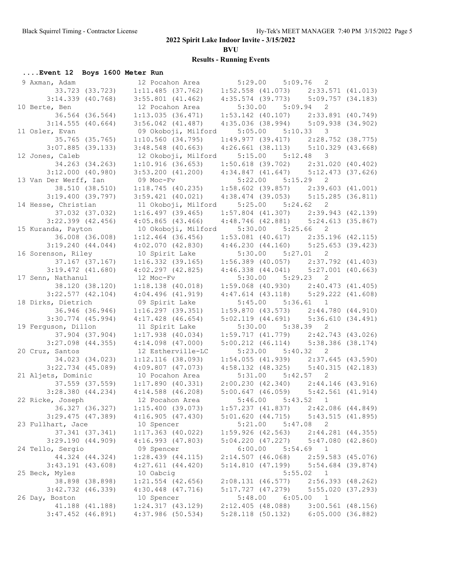**BVU**

| Event 12 Boys 1600 Meter Run                       |  |            |                                                                                                                                                                                                                            |                       |                       |                                                                                                                          |  |
|----------------------------------------------------|--|------------|----------------------------------------------------------------------------------------------------------------------------------------------------------------------------------------------------------------------------|-----------------------|-----------------------|--------------------------------------------------------------------------------------------------------------------------|--|
| 9 Axman, Adam                                      |  |            | 12 Pocahon Area 5:29.00 5:09.76 2                                                                                                                                                                                          |                       |                       |                                                                                                                          |  |
| 33.723 (33.723)                                    |  |            | 1:11.485 (37.762) 1:52.558 (41.073) 2:33.571 (41.013)<br>3:55.801 (41.462) 4:35.574 (39.773) 5:09.757 (34.183)                                                                                                             |                       |                       |                                                                                                                          |  |
| $3:14.339$ $(40.768)$                              |  |            | $3:55.801$ (41.462)                                                                                                                                                                                                        |                       |                       |                                                                                                                          |  |
| 10 Berte, Ben                                      |  |            | 12 Pocahon Area                                                                                                                                                                                                            |                       | $5:30.00$ $5:09.94$ 2 |                                                                                                                          |  |
| 36.564 (36.564)                                    |  |            | 1:13.035(36.471)                                                                                                                                                                                                           |                       |                       | $1:53.142$ (40.107) $2:33.891$ (40.749)                                                                                  |  |
| $3:14.555$ (40.664)                                |  |            | $3:56.042$ $(41.487)$                                                                                                                                                                                                      |                       |                       | 4:35.036 (38.994) 5:09.938 (34.902)                                                                                      |  |
| 11 Osler, Evan                                     |  |            | 09 Okoboji, Milford                                                                                                                                                                                                        |                       | $5:05.00$ $5:10.33$ 3 |                                                                                                                          |  |
| 35.765 (35.765)                                    |  |            | 1:10.560(34.795)                                                                                                                                                                                                           |                       |                       |                                                                                                                          |  |
| $3:07.885$ (39.133)                                |  |            | $3:48.548$ (40.663)                                                                                                                                                                                                        |                       |                       | $\begin{array}{cccc} 1:49.977 & (39.417) & 2:28.752 & (38.775) \\ 4:26.661 & (38.113) & 5:10.329 & (43.668) \end{array}$ |  |
| 12 Jones, Caleb                                    |  |            | 12 Okoboji, Milford                                                                                                                                                                                                        |                       | $5:15.00$ $5:12.48$ 3 |                                                                                                                          |  |
| 34.263 (34.263)                                    |  |            | 1:10.916(36.653)                                                                                                                                                                                                           |                       |                       | $1:50.618$ (39.702) $2:31.020$ (40.402)                                                                                  |  |
| $3:12.000$ (40.980)                                |  |            | $3:53.200$ (41.200) $4:34.847$ (41.647) $5:12.473$ (37.626)                                                                                                                                                                |                       |                       |                                                                                                                          |  |
| 13 Van Der Werff, Ian                              |  |            | 09 Moc-Fv                                                                                                                                                                                                                  | $5:22.00$ $5:15.29$ 2 |                       |                                                                                                                          |  |
| 38.510 (38.510)                                    |  |            | $1:18.745$ (40.235) $1:58.602$ (39.857) $2:39.603$ (41.001)<br>3:59.421 (40.021) $4:38.474$ (39.053) 5:15.285 (36.811)                                                                                                     |                       |                       |                                                                                                                          |  |
| 3:19.400(39.797)                                   |  |            |                                                                                                                                                                                                                            |                       |                       |                                                                                                                          |  |
| 14 Hesse, Christian                                |  |            | 11 Okoboji, Milford 5:25.00 5:24.62 2                                                                                                                                                                                      |                       |                       |                                                                                                                          |  |
| 37.032 (37.032)                                    |  |            | 1:16.497(39.465)                                                                                                                                                                                                           |                       |                       | $1:57.804$ (41.307) $2:39.943$ (42.139)                                                                                  |  |
| $3:22.399$ (42.456)                                |  |            | $4:05.865$ $(43.466)$                                                                                                                                                                                                      |                       |                       | 4:48.746 (42.881) 5:24.613 (35.867)                                                                                      |  |
| 15 Kuranda, Payton                                 |  |            | 10 Okoboji, Milford 5:30.00 5:25.66 2                                                                                                                                                                                      |                       |                       |                                                                                                                          |  |
| 36.008 (36.008)                                    |  |            | $1:12.464$ (36.456)                                                                                                                                                                                                        |                       |                       | 1:53.081 (40.617) 2:35.196 (42.115)<br>4:46.230 (44.160) 5:25.653 (39.423)                                               |  |
| 3:19.240(44.044)                                   |  |            | 4:02.070(42.830)                                                                                                                                                                                                           |                       |                       |                                                                                                                          |  |
| 16 Sorenson, Riley                                 |  |            | 10 Spirit Lake                                                                                                                                                                                                             |                       | $5:30.00$ $5:27.01$ 2 |                                                                                                                          |  |
| 37.167 (37.167)                                    |  |            | $1:16.\overline{332}$ (39.165) 1:56.389 (40.057) 2:37.792 (41.403)                                                                                                                                                         |                       |                       |                                                                                                                          |  |
| $3:19.472$ $(41.680)$                              |  |            | $4:02.297$ (42.825) $4:46.338$ (44.041) $5:27.001$ (40.663)                                                                                                                                                                |                       |                       |                                                                                                                          |  |
| 17 Senn, Nathanul                                  |  | 12 Moc-Fv  |                                                                                                                                                                                                                            |                       | 5:30.00 5:29.23 2     |                                                                                                                          |  |
| 38.120 (38.120)                                    |  |            | $1:18.138$ $(40.018)$                                                                                                                                                                                                      |                       |                       | $1:59.068$ (40.930) $2:40.473$ (41.405)<br>4:47.614 (43.118) 5:29.222 (41.608)                                           |  |
| $3:22.577$ (42.104)                                |  |            | 4:04.496(41.919)                                                                                                                                                                                                           |                       |                       |                                                                                                                          |  |
| 18 Dirks, Dietrich                                 |  |            | 09 Spirit Lake                                                                                                                                                                                                             |                       | $5:45.00$ $5:36.61$ 1 |                                                                                                                          |  |
| 36.946 (36.946)                                    |  |            | $1:16.297$ (39.351)                                                                                                                                                                                                        |                       |                       | $1:59.870$ (43.573) $2:44.780$ (44.910)                                                                                  |  |
| $3:30.774$ (45.994)                                |  |            | $4:17.428$ $(46.654)$                                                                                                                                                                                                      |                       |                       | 5:02.119 (44.691) 5:36.610 (34.491)                                                                                      |  |
| 19 Ferguson, Dillon                                |  |            | 11 Spirit Lake                                                                                                                                                                                                             |                       | 5:30.00 5:38.39 2     |                                                                                                                          |  |
| 37.904 (37.904)                                    |  |            | $1:17.938$ $(40.034)$                                                                                                                                                                                                      |                       |                       | $\begin{array}{cccc} 1:59.717 & (41.779) & 2:42.743 & (43.026) \\ 5:00.212 & (46.114) & 5:38.386 & (38.174) \end{array}$ |  |
| $3:27.098$ $(44.355)$                              |  |            | $4:14.098$ $(47.000)$                                                                                                                                                                                                      |                       |                       |                                                                                                                          |  |
| 20 Cruz, Santos                                    |  |            | 12 Estherville-LC                                                                                                                                                                                                          |                       | $5:23.00$ $5:40.32$ 2 |                                                                                                                          |  |
| 34.023 (34.023)                                    |  |            | 1:12.116(38.093)                                                                                                                                                                                                           |                       |                       | $1:54.055$ (41.939) $2:37.645$ (43.590)                                                                                  |  |
| $3:22.734$ (45.089)                                |  |            |                                                                                                                                                                                                                            |                       |                       | $4:58.132$ (48.325) $5:40.315$ (42.183)                                                                                  |  |
| 21 Aljets, Dominic                                 |  |            |                                                                                                                                                                                                                            |                       |                       |                                                                                                                          |  |
|                                                    |  |            |                                                                                                                                                                                                                            |                       |                       |                                                                                                                          |  |
| $3:28.380$ $(44.234)$                              |  |            | 10 Pocahon Area<br>37.559 (37.559) 1:17.890 (40.331) 2:00.230 (42.340) 2:44.146 (43.916)<br>37.559 (37.559) 1:17.890 (40.331) 2:00.230 (42.340) 2:44.146 (43.916)<br>4.14.588 (46.208) 5:00.647 (46.059) 5:42.561 (41.914) |                       |                       |                                                                                                                          |  |
| 22 Ricke, Joseph 12 Pocahon Area 5:46.00 5:43.52 1 |  |            |                                                                                                                                                                                                                            |                       |                       |                                                                                                                          |  |
| 36.327 (36.327)                                    |  |            | 1:15.400(39.073)                                                                                                                                                                                                           |                       |                       | $1:57.237$ (41.837) $2:42.086$ (44.849)                                                                                  |  |
| $3:29.475$ (47.389)                                |  |            | 4:16.905(47.430)                                                                                                                                                                                                           |                       |                       | 5:01.620 (44.715) 5:43.515 (41.895)                                                                                      |  |
| 23 Fullhart, Jace                                  |  | 10 Spencer |                                                                                                                                                                                                                            |                       | $5:21.00$ $5:47.08$ 2 |                                                                                                                          |  |
| 37.341 (37.341)                                    |  |            | $1:17.363$ (40.022)                                                                                                                                                                                                        |                       |                       | $1:59.926$ (42.563) $2:44.281$ (44.355)                                                                                  |  |
| 3:29.190(44.909)                                   |  |            | $4:16.993$ $(47.803)$                                                                                                                                                                                                      |                       |                       | $5:04.220$ (47.227) $5:47.080$ (42.860)                                                                                  |  |
| 24 Tello, Sergio                                   |  | 09 Spencer |                                                                                                                                                                                                                            |                       | $6:00.00$ $5:54.69$ 1 |                                                                                                                          |  |
| 44.324 (44.324)                                    |  |            | $1:28.439$ $(44.115)$                                                                                                                                                                                                      |                       |                       | 2:14.507 (46.068) 2:59.583 (45.076)                                                                                      |  |
| $3:43.191$ $(43.608)$                              |  |            | $4:27.611$ $(44.420)$                                                                                                                                                                                                      |                       |                       | $5:14.810$ (47.199) $5:54.684$ (39.874)                                                                                  |  |
| 25 Beck, Myles                                     |  | 10 Oabcig  | $1:21.554$ (42.656)                                                                                                                                                                                                        |                       |                       | 5:55.02 1                                                                                                                |  |
| 38.898 (38.898)<br>3:42.732 (46.339)               |  |            | $4:30.448$ $(47.716)$                                                                                                                                                                                                      |                       |                       | 2:08.131 (46.577) 2:56.393 (48.262)                                                                                      |  |
| 26 Day, Boston                                     |  | 10 Spencer |                                                                                                                                                                                                                            |                       | $5:48.00$ $6:05.00$ 1 | 5:17.727 (47.279) 5:55.020 (37.293)                                                                                      |  |
| 41.188 (41.188)                                    |  |            | 1:24.317(43.129)                                                                                                                                                                                                           |                       |                       | $2:12.405$ (48.088) 3:00.561 (48.156)                                                                                    |  |
| $3:47.452$ (46.891)                                |  |            | 4:37.986 (50.534)                                                                                                                                                                                                          |                       |                       | 5:28.118 (50.132)    6:05.000 (36.882)                                                                                   |  |
|                                                    |  |            |                                                                                                                                                                                                                            |                       |                       |                                                                                                                          |  |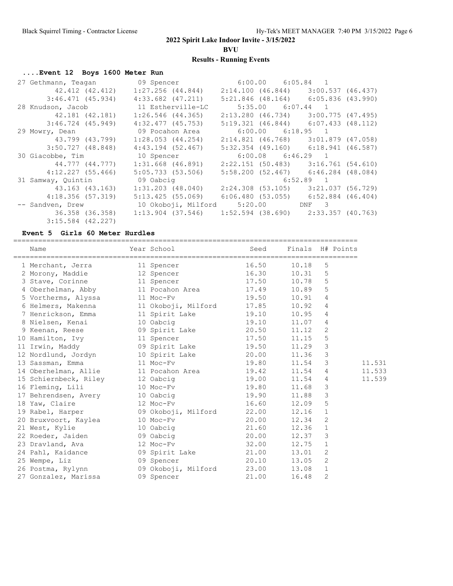**BVU**

## **Results - Running Events**

## **....Event 12 Boys 1600 Meter Run**

| 27 Gethmann, Teagan | 09 Spencer                                                            | $6:00.00$ $6:05.84$ 1                   |  |
|---------------------|-----------------------------------------------------------------------|-----------------------------------------|--|
| 42.412 (42.412)     | $1:27.256$ $(44.844)$                                                 | $2:14.100$ (46.844) 3:00.537 (46.437)   |  |
| $3:46.471$ (45.934) | $4:33.682$ $(47.211)$                                                 | $5:21.846$ (48.164) 6:05.836 (43.990)   |  |
| 28 Knudson, Jacob   | 11 Estherville-LC                                                     | $5:35.00$ $6:07.44$ 1                   |  |
| 42.181 (42.181)     | $1:26.546$ (44.365)                                                   | $2:13.280$ (46.734) 3:00.775 (47.495)   |  |
| $3:46.724$ (45.949) | $4:32.477$ $(45.753)$                                                 | $5:19.321$ (46.844) 6:07.433 (48.112)   |  |
| 29 Mowry, Dean      | 09 Pocahon Area                                                       | $6:00.00$ $6:18.95$ 1                   |  |
| 43.799 (43.799)     | $1:28.053$ (44.254)                                                   | $2:14.821$ (46.768) 3:01.879 (47.058)   |  |
| 3:50.727 (48.848)   | $4:43.194$ (52.467)                                                   | $5:32.354$ (49.160) 6:18.941 (46.587)   |  |
|                     |                                                                       |                                         |  |
| 30 Giacobbe, Tim    | 10 Spencer                                                            | $6:00.08$ $6:46.29$ 1                   |  |
| 44.777 (44.777)     | $1:31.668$ (46.891)                                                   | $2:22.151$ (50.483) 3:16.761 (54.610)   |  |
| 4:12.227(55.466)    | 5:05.733(53.506)                                                      | 5:58.200(52.467)6:46.284(48.084)        |  |
| 31 Samway, Quintin  | 09 Oabcig                                                             | $6:52.89$ 1                             |  |
| 43.163 (43.163)     | 1:31.203 (48.040)                                                     | $2:24.308$ (53.105) 3:21.037 (56.729)   |  |
| 4:18.356(57.319)    | 5:13.425 (55.069)                                                     | $6:06.480$ (53.055) $6:52.884$ (46.404) |  |
| -- Sandven, Drew    | 10 Okoboji, Milford 5:20.00 DNF 3                                     |                                         |  |
|                     | 36.358 (36.358) 1:13.904 (37.546) 1:52.594 (38.690) 2:33.357 (40.763) |                                         |  |

### **Event 5 Girls 60 Meter Hurdles**

| Name                                                                                                                                                                                  | Year School                                 Seed       Finals   H# Points |           |                |
|---------------------------------------------------------------------------------------------------------------------------------------------------------------------------------------|---------------------------------------------------------------------------|-----------|----------------|
| 1 Merchant, Jerra 11 Spencer 16.50                                                                                                                                                    |                                                                           | 10.18     | 5              |
| 2 Morony, Maddie $\begin{array}{cccc} 12 & \text{Spencer} & 16.30 & 10.31 & 5 \\ 3 & \text{Stave, Corinne} & 11 & \text{Spencer} & 17.50 & 10.78 & 5 \end{array}$                     |                                                                           |           |                |
|                                                                                                                                                                                       |                                                                           |           |                |
| 4 Oberhelman, Abby 11 Pocahon Area 17.49 10.89 5                                                                                                                                      |                                                                           |           |                |
| 5 Vortherms, Alyssa 11 Moc-Fv 19.50 10.91                                                                                                                                             |                                                                           |           | $\overline{4}$ |
| 6 Helmers, Makenna (11 Okoboji, Milford (17.85)                                                                                                                                       |                                                                           | 10.92 4   |                |
|                                                                                                                                                                                       |                                                                           |           |                |
|                                                                                                                                                                                       |                                                                           |           |                |
| 7 Henrickson, Emma<br>8 Nielsen, Kenai<br>9 Keenan, Reese (19 Spirit Lake 19.10 10.95 4<br>9 Keenan, Reese (19 Spirit Lake 20.50 11.12 2<br>10 Hamilton, Ivy 11 Spencer 17.50 11.15 5 |                                                                           |           |                |
|                                                                                                                                                                                       |                                                                           |           |                |
| 11 Irwin, Maddy 69 Spirit Lake 19.50                                                                                                                                                  |                                                                           | $11.29$ 3 |                |
| 12 Nordlund, Jordyn 10 Spirit Lake 20.00 11.36 3                                                                                                                                      |                                                                           |           |                |
|                                                                                                                                                                                       |                                                                           |           | 3              |
| 14 Oberhelman, Allie 11 Pocahon Area 19.42 11.54 4                                                                                                                                    |                                                                           |           |                |
|                                                                                                                                                                                       |                                                                           |           |                |
|                                                                                                                                                                                       |                                                                           |           |                |
|                                                                                                                                                                                       |                                                                           |           |                |
| 17 Behrendsen, Avery 10 Oabcig 19.90 11.88 3<br>18 Yaw, Claire 12 Moc-Fv 16.60 12.09 5                                                                                                |                                                                           |           |                |
| 19 Rabel, Harper (9 Okoboji, Milford (22.00 12.16 1)                                                                                                                                  |                                                                           |           |                |
| 20 Bruxvoort, Kaylea 10 Moc-Fv 20.00 12.34 2                                                                                                                                          |                                                                           |           |                |
| 21 West, Kylie <sup>10</sup> 10 Oabcig 21.60 21.36 1<br>22 Roeder, Jaiden 19 Oabcig 20.00 12.37 3<br>23 Dravland, Ava 12 Moc-Fv 32.00 12.75 1                                         |                                                                           |           |                |
|                                                                                                                                                                                       |                                                                           |           |                |
|                                                                                                                                                                                       |                                                                           |           |                |
| 24 Pahl, Kaidance (09 Spirit Lake (21.00 13.01 2)                                                                                                                                     |                                                                           |           |                |
| 25 Wempe, Liz and CO 3 Spencer 20.10 13.05 2                                                                                                                                          |                                                                           |           |                |
| 26 Postma, Rylynn (09 Okoboji, Milford (23.00 13.08 1)                                                                                                                                |                                                                           |           |                |
| 27 Gonzalez, Marissa (09 Spencer 1984) 21.00                                                                                                                                          |                                                                           | 16.48     | 2              |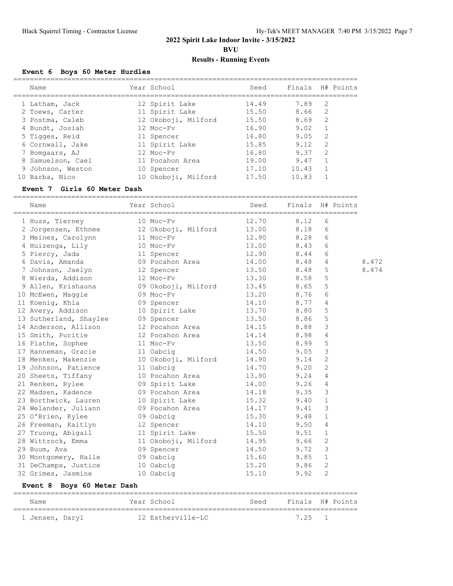**BVU**

## **Results - Running Events**

## **Event 6 Boys 60 Meter Hurdles**

| Name              | Year School         | Seed  | Finals |               | H# Points |
|-------------------|---------------------|-------|--------|---------------|-----------|
| 1 Latham, Jack    | 12 Spirit Lake      | 14.49 | 7.89   | 2             |           |
| 2 Toews, Carter   | 11 Spirit Lake      | 15.50 | 8.66   | 2             |           |
| 3 Postma, Caleb   | 12 Okoboji, Milford | 15.50 | 8.69   | 2             |           |
| 4 Bundt, Josiah   | 12 Moc-Fy           | 16.90 | 9.02   | 1             |           |
| 5 Tigges, Reid    | 11 Spencer          | 16.80 | 9.05   | $\mathcal{L}$ |           |
| 6 Cornwall, Jake  | 11 Spirit Lake      | 15.85 | 9.12   | 2             |           |
| 7 Bomgaars, AJ    | 12 Moc-Fy           | 16.80 | 9.37   | $\mathcal{D}$ |           |
| 8 Samuelson, Cael | 11 Pocahon Area     | 19.00 | 9.47   |               |           |
| 9 Johnson, Weston | 10 Spencer          | 17.10 | 10.43  |               |           |
| 10 Barba, Nico    | 10 Okoboji, Milford | 17.50 | 10.83  |               |           |
|                   |                     |       |        |               |           |

### **Event 7 Girls 60 Meter Dash**

===================================================================================

| Name                       | Year School         | Seed  | Finals H# Points |                |       |
|----------------------------|---------------------|-------|------------------|----------------|-------|
| 1 Huss, Tierney            | 10 Moc-Fv           | 12.70 | 8.12             | 6              |       |
| 2 Jorgensen, Ethnee        | 12 Okoboji, Milford | 13.00 | 8.18             | 6              |       |
| 3 Meines, Carolynn         | 11 Moc-Fv           | 12.90 | 8.28             | 6              |       |
| 4 Huizenga, Lily           | 10 Moc-Fv           | 13.00 | 8.43             | 6              |       |
| 5 Piercy, Jada             | 11 Spencer          | 12.90 | 8.44             | 6              |       |
| 6 Davis, Amanda            | 09 Pocahon Area     | 14.00 | 8.48             | 4              | 8.472 |
| 7 Johnson, Jaelyn          | 12 Spencer          | 13.50 | 8.48             | 5              | 8.474 |
| 8 Wierda, Addison          | 12 Moc-Fv           | 13.30 | 8.58             | 5              |       |
| 9 Allen, Krishauna         | 09 Okoboji, Milford | 13.45 | 8.65             | 5              |       |
| 10 McEwen, Maggie          | 09 Moc-Fv           | 13.20 | 8.76             | 6              |       |
| 11 Koenig, Khia            | 09 Spencer          | 14.10 | 8.77             | 4              |       |
| 12 Avery, Addison          | 10 Spirit Lake      | 13.70 | 8.80             | 5              |       |
| 13 Sutherland, Shaylee     | 09 Spencer          | 13.50 | 8.86             | 5              |       |
| 14 Anderson, Allison       | 12 Pocahon Area     | 14.15 | 8.88             | 3              |       |
| 15 Smith, Puritie          | 12 Pocahon Area     | 14.14 | 8.98             | 4              |       |
| 16 Plathe, Sophee          | 11 Moc-Fv           | 13.50 | 8.99             | 5              |       |
| 17 Hanneman, Gracie        | 11 Oabcig           | 14.50 | 9.05             | 3              |       |
| 18 Menken, Makenzie        | 10 Okoboji, Milford | 14.90 | 9.14             | $\overline{2}$ |       |
| 19 Johnson, Patience       | 11 Oabcig           | 14.70 | 9.20             | 2              |       |
| 20 Sheets, Tiffany         | 10 Pocahon Area     | 13.90 | 9.24             | 4              |       |
| 21 Renken, Rylee           | 09 Spirit Lake      | 14.00 | 9.26             | 4              |       |
| 22 Madsen, Kadence         | 09 Pocahon Area     | 14.18 | 9.35             | 3              |       |
| 23 Borthwick, Lauren       | 10 Spirit Lake      | 15.32 | 9.40             | $\mathbf{1}$   |       |
| 24 Welander, Juliann       | 09 Pocahon Area     | 14.17 | 9.41             | 3              |       |
| 25 O'Brien, Kylee          | 09 Oabcig           | 15.30 | 9.48             | $\mathbf{1}$   |       |
| 26 Freeman, Kaitlyn        | 12 Spencer          | 14.10 | 9.50             | 4              |       |
| 27 Truong, Abigail         | 11 Spirit Lake      | 15.50 | 9.51             | $\mathbf{1}$   |       |
| 28 Wittrock, Emma          | 11 Okoboji, Milford | 14.95 | 9.66             | $\overline{c}$ |       |
| 29 Buum, Ava               | 09 Spencer          | 14.50 | 9.72             | 3              |       |
| 30 Montgomery, Halle       | 09 Oabcig           | 15.60 | 9.85             | $\mathbf{1}$   |       |
| 31 DeChamps, Justice       | 10 Oabcig           | 15.20 | 9.86             | 2              |       |
| 32 Grimes, Jasmine         | 10 Oabcig           | 15.10 | 9.92             | 2              |       |
| Event 8 Boys 60 Meter Dash |                     |       |                  |                |       |

| Name            |  | Year School       | Seed | Finals H# Points |  |
|-----------------|--|-------------------|------|------------------|--|
|                 |  |                   |      |                  |  |
| 1 Jensen, Daryl |  | 12 Estherville-LC |      | 725              |  |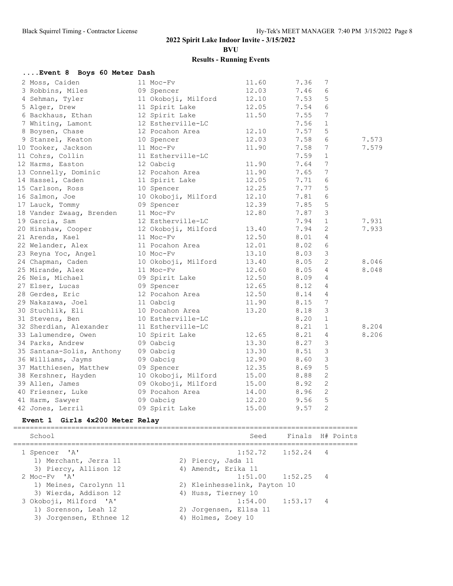**BVU**

| 11.60<br>2 Moss, Caiden<br>11 Moc-Fv<br>7.36<br>7<br>12.03<br>3 Robbins, Miles<br>7.46<br>6<br>09 Spencer<br>4 Sehman, Tyler<br>11 Okoboji, Milford<br>12.10<br>7.53<br>5<br>6<br>11 Spirit Lake<br>7.54<br>5 Alger, Drew<br>12.05<br>7<br>6 Backhaus, Ethan<br>12 Spirit Lake<br>11.50<br>7.55<br>$\mathbf{1}$<br>7 Whiting, Lamont<br>12 Estherville-LC<br>7.56<br>12 Pocahon Area<br>8 Boysen, Chase<br>7.57<br>5<br>12.10<br>9 Stanzel, Keaton<br>12.03<br>7.58<br>6<br>7.573<br>10 Spencer<br>11.90<br>7.58<br>7<br>7.579<br>10 Tooker, Jackson<br>11 Moc-Fv<br>11 Estherville-LC<br>7.59<br>$\mathbf{1}$<br>11 Cohrs, Collin<br>$7\phantom{.0}$<br>12 Harms, Easton<br>12 Oabcig<br>11.90<br>7.64<br>12 Pocahon Area<br>7<br>13 Connelly, Dominic<br>11.90<br>7.65<br>14 Hassel, Caden<br>12.05<br>11 Spirit Lake<br>7.71<br>6<br>5<br>12.25<br>7.77<br>15 Carlson, Ross<br>10 Spencer<br>6<br>10 Okoboji, Milford<br>12.10<br>7.81<br>16 Salmon, Joe<br>5<br>12.39<br>17 Lauck, Tommy<br>09 Spencer<br>7.85<br>$\mathcal{S}$<br>18 Vander Zwaag, Brenden<br>11 Moc-Fv<br>12.80<br>7.87<br>7.931<br>19 Garcia, Sam<br>12 Estherville-LC<br>7.94<br>$\mathbf{1}$<br>2<br>12 Okoboji, Milford<br>7.94<br>7.933<br>20 Hinshaw, Cooper<br>13.40<br>12.50<br>21 Arends, Kael<br>11 Moc-Fy<br>8.01<br>4<br>6<br>11 Pocahon Area<br>12.01<br>8.02<br>22 Welander, Alex<br>$\mathcal{S}$<br>13.10<br>8.03<br>23 Reyna Yoc, Angel<br>$10$ Moc-Fv<br>2<br>24 Chapman, Caden<br>10 Okoboji, Milford<br>13.40<br>8.05<br>8.046<br>25 Mirande, Alex<br>12.60<br>8.05<br>4<br>8.048<br>11 Moc-Fy<br>26 Neis, Michael<br>12.50<br>8.09<br>09 Spirit Lake<br>4<br>27 Elser, Lucas<br>09 Spencer<br>12.65<br>8.12<br>4<br>12.50<br>28 Gerdes, Eric<br>12 Pocahon Area<br>8.14<br>4<br>11.90<br>$7\phantom{.0}$<br>29 Nakazawa, Joel<br>8.15<br>11 Oabcig<br>13.20<br>8.18<br>3<br>30 Stuchlik, Eli<br>10 Pocahon Area<br>8.20<br>31 Stevens, Ben<br>10 Estherville-LC<br>$\mathbf{1}$<br>8.21<br>32 Sherdian, Alexander<br>11 Estherville-LC<br>$\mathbf{1}$<br>8.204<br>8.21<br>33 Lalumendre, Owen<br>10 Spirit Lake<br>12.65<br>4<br>8.206<br>13.30<br>8.27<br>3<br>09 Oabcig<br>34 Parks, Andrew<br>$\mathcal{S}$<br>09 Oabcig<br>13.30<br>8.51<br>35 Santana-Solis, Anthony<br>$\mathcal{S}$<br>12.90<br>36 Williams, Jayms<br>09 Oabcig<br>8.60<br>5<br>37 Matthiesen, Matthew<br>12.35<br>8.69<br>09 Spencer<br>2<br>10 Okoboji, Milford<br>15.00<br>38 Kershner, Hayden<br>8.88<br>2<br>09 Okoboji, Milford<br>15.00<br>8.92<br>39 Allen, James<br>$\overline{2}$<br>8.96<br>40 Friesner, Luke<br>09 Pocahon Area<br>14.00<br>9.56 5<br>09 Oabcig<br>12.20<br>41 Harm, Sawyer<br>09 Spirit Lake<br>15.00<br>42 Jones, Lerril<br>9.57<br>2<br>Event 1 Girls 4x200 Meter Relay<br>School<br>Finals<br>H# Points<br>Seed<br>===================================<br>1 Spencer 'A'<br>1:52.72<br>1:52.24<br>4<br>1) Merchant, Jerra 11<br>2) Piercy, Jada 11<br>3) Piercy, Allison 12<br>4) Amendt, Erika 11<br>2 Moc-Fv 'A'<br>1:51.00<br>1:52.25<br>4<br>1) Meines, Carolynn 11<br>2) Kleinhesselink, Payton 10<br>3) Wierda, Addison 12<br>4) Huss, Tierney 10<br>3 Okoboji, Milford 'A'<br>1:54.00<br>1:53.17<br>4<br>2) Jorgensen, Ellsa 11<br>1) Sorenson, Leah 12<br>3) Jorgensen, Ethnee 12<br>4) Holmes, Zoey 10 | Event 8 Boys 60 Meter Dash |  |  |  |
|-------------------------------------------------------------------------------------------------------------------------------------------------------------------------------------------------------------------------------------------------------------------------------------------------------------------------------------------------------------------------------------------------------------------------------------------------------------------------------------------------------------------------------------------------------------------------------------------------------------------------------------------------------------------------------------------------------------------------------------------------------------------------------------------------------------------------------------------------------------------------------------------------------------------------------------------------------------------------------------------------------------------------------------------------------------------------------------------------------------------------------------------------------------------------------------------------------------------------------------------------------------------------------------------------------------------------------------------------------------------------------------------------------------------------------------------------------------------------------------------------------------------------------------------------------------------------------------------------------------------------------------------------------------------------------------------------------------------------------------------------------------------------------------------------------------------------------------------------------------------------------------------------------------------------------------------------------------------------------------------------------------------------------------------------------------------------------------------------------------------------------------------------------------------------------------------------------------------------------------------------------------------------------------------------------------------------------------------------------------------------------------------------------------------------------------------------------------------------------------------------------------------------------------------------------------------------------------------------------------------------------------------------------------------------------------------------------------------------------------------------------------------------------------------------------------------------------------------------------------------------------------------------------------------------------------------------------------------------------------------------------------------------------------------------------------------------------------------------------------------------------------------------------------------------------------------------------------------------------------------------------------------------------------------------------------------|----------------------------|--|--|--|
|                                                                                                                                                                                                                                                                                                                                                                                                                                                                                                                                                                                                                                                                                                                                                                                                                                                                                                                                                                                                                                                                                                                                                                                                                                                                                                                                                                                                                                                                                                                                                                                                                                                                                                                                                                                                                                                                                                                                                                                                                                                                                                                                                                                                                                                                                                                                                                                                                                                                                                                                                                                                                                                                                                                                                                                                                                                                                                                                                                                                                                                                                                                                                                                                                                                                                                                   |                            |  |  |  |
|                                                                                                                                                                                                                                                                                                                                                                                                                                                                                                                                                                                                                                                                                                                                                                                                                                                                                                                                                                                                                                                                                                                                                                                                                                                                                                                                                                                                                                                                                                                                                                                                                                                                                                                                                                                                                                                                                                                                                                                                                                                                                                                                                                                                                                                                                                                                                                                                                                                                                                                                                                                                                                                                                                                                                                                                                                                                                                                                                                                                                                                                                                                                                                                                                                                                                                                   |                            |  |  |  |
|                                                                                                                                                                                                                                                                                                                                                                                                                                                                                                                                                                                                                                                                                                                                                                                                                                                                                                                                                                                                                                                                                                                                                                                                                                                                                                                                                                                                                                                                                                                                                                                                                                                                                                                                                                                                                                                                                                                                                                                                                                                                                                                                                                                                                                                                                                                                                                                                                                                                                                                                                                                                                                                                                                                                                                                                                                                                                                                                                                                                                                                                                                                                                                                                                                                                                                                   |                            |  |  |  |
|                                                                                                                                                                                                                                                                                                                                                                                                                                                                                                                                                                                                                                                                                                                                                                                                                                                                                                                                                                                                                                                                                                                                                                                                                                                                                                                                                                                                                                                                                                                                                                                                                                                                                                                                                                                                                                                                                                                                                                                                                                                                                                                                                                                                                                                                                                                                                                                                                                                                                                                                                                                                                                                                                                                                                                                                                                                                                                                                                                                                                                                                                                                                                                                                                                                                                                                   |                            |  |  |  |
|                                                                                                                                                                                                                                                                                                                                                                                                                                                                                                                                                                                                                                                                                                                                                                                                                                                                                                                                                                                                                                                                                                                                                                                                                                                                                                                                                                                                                                                                                                                                                                                                                                                                                                                                                                                                                                                                                                                                                                                                                                                                                                                                                                                                                                                                                                                                                                                                                                                                                                                                                                                                                                                                                                                                                                                                                                                                                                                                                                                                                                                                                                                                                                                                                                                                                                                   |                            |  |  |  |
|                                                                                                                                                                                                                                                                                                                                                                                                                                                                                                                                                                                                                                                                                                                                                                                                                                                                                                                                                                                                                                                                                                                                                                                                                                                                                                                                                                                                                                                                                                                                                                                                                                                                                                                                                                                                                                                                                                                                                                                                                                                                                                                                                                                                                                                                                                                                                                                                                                                                                                                                                                                                                                                                                                                                                                                                                                                                                                                                                                                                                                                                                                                                                                                                                                                                                                                   |                            |  |  |  |
|                                                                                                                                                                                                                                                                                                                                                                                                                                                                                                                                                                                                                                                                                                                                                                                                                                                                                                                                                                                                                                                                                                                                                                                                                                                                                                                                                                                                                                                                                                                                                                                                                                                                                                                                                                                                                                                                                                                                                                                                                                                                                                                                                                                                                                                                                                                                                                                                                                                                                                                                                                                                                                                                                                                                                                                                                                                                                                                                                                                                                                                                                                                                                                                                                                                                                                                   |                            |  |  |  |
|                                                                                                                                                                                                                                                                                                                                                                                                                                                                                                                                                                                                                                                                                                                                                                                                                                                                                                                                                                                                                                                                                                                                                                                                                                                                                                                                                                                                                                                                                                                                                                                                                                                                                                                                                                                                                                                                                                                                                                                                                                                                                                                                                                                                                                                                                                                                                                                                                                                                                                                                                                                                                                                                                                                                                                                                                                                                                                                                                                                                                                                                                                                                                                                                                                                                                                                   |                            |  |  |  |
|                                                                                                                                                                                                                                                                                                                                                                                                                                                                                                                                                                                                                                                                                                                                                                                                                                                                                                                                                                                                                                                                                                                                                                                                                                                                                                                                                                                                                                                                                                                                                                                                                                                                                                                                                                                                                                                                                                                                                                                                                                                                                                                                                                                                                                                                                                                                                                                                                                                                                                                                                                                                                                                                                                                                                                                                                                                                                                                                                                                                                                                                                                                                                                                                                                                                                                                   |                            |  |  |  |
|                                                                                                                                                                                                                                                                                                                                                                                                                                                                                                                                                                                                                                                                                                                                                                                                                                                                                                                                                                                                                                                                                                                                                                                                                                                                                                                                                                                                                                                                                                                                                                                                                                                                                                                                                                                                                                                                                                                                                                                                                                                                                                                                                                                                                                                                                                                                                                                                                                                                                                                                                                                                                                                                                                                                                                                                                                                                                                                                                                                                                                                                                                                                                                                                                                                                                                                   |                            |  |  |  |
|                                                                                                                                                                                                                                                                                                                                                                                                                                                                                                                                                                                                                                                                                                                                                                                                                                                                                                                                                                                                                                                                                                                                                                                                                                                                                                                                                                                                                                                                                                                                                                                                                                                                                                                                                                                                                                                                                                                                                                                                                                                                                                                                                                                                                                                                                                                                                                                                                                                                                                                                                                                                                                                                                                                                                                                                                                                                                                                                                                                                                                                                                                                                                                                                                                                                                                                   |                            |  |  |  |
|                                                                                                                                                                                                                                                                                                                                                                                                                                                                                                                                                                                                                                                                                                                                                                                                                                                                                                                                                                                                                                                                                                                                                                                                                                                                                                                                                                                                                                                                                                                                                                                                                                                                                                                                                                                                                                                                                                                                                                                                                                                                                                                                                                                                                                                                                                                                                                                                                                                                                                                                                                                                                                                                                                                                                                                                                                                                                                                                                                                                                                                                                                                                                                                                                                                                                                                   |                            |  |  |  |
|                                                                                                                                                                                                                                                                                                                                                                                                                                                                                                                                                                                                                                                                                                                                                                                                                                                                                                                                                                                                                                                                                                                                                                                                                                                                                                                                                                                                                                                                                                                                                                                                                                                                                                                                                                                                                                                                                                                                                                                                                                                                                                                                                                                                                                                                                                                                                                                                                                                                                                                                                                                                                                                                                                                                                                                                                                                                                                                                                                                                                                                                                                                                                                                                                                                                                                                   |                            |  |  |  |
|                                                                                                                                                                                                                                                                                                                                                                                                                                                                                                                                                                                                                                                                                                                                                                                                                                                                                                                                                                                                                                                                                                                                                                                                                                                                                                                                                                                                                                                                                                                                                                                                                                                                                                                                                                                                                                                                                                                                                                                                                                                                                                                                                                                                                                                                                                                                                                                                                                                                                                                                                                                                                                                                                                                                                                                                                                                                                                                                                                                                                                                                                                                                                                                                                                                                                                                   |                            |  |  |  |
|                                                                                                                                                                                                                                                                                                                                                                                                                                                                                                                                                                                                                                                                                                                                                                                                                                                                                                                                                                                                                                                                                                                                                                                                                                                                                                                                                                                                                                                                                                                                                                                                                                                                                                                                                                                                                                                                                                                                                                                                                                                                                                                                                                                                                                                                                                                                                                                                                                                                                                                                                                                                                                                                                                                                                                                                                                                                                                                                                                                                                                                                                                                                                                                                                                                                                                                   |                            |  |  |  |
|                                                                                                                                                                                                                                                                                                                                                                                                                                                                                                                                                                                                                                                                                                                                                                                                                                                                                                                                                                                                                                                                                                                                                                                                                                                                                                                                                                                                                                                                                                                                                                                                                                                                                                                                                                                                                                                                                                                                                                                                                                                                                                                                                                                                                                                                                                                                                                                                                                                                                                                                                                                                                                                                                                                                                                                                                                                                                                                                                                                                                                                                                                                                                                                                                                                                                                                   |                            |  |  |  |
|                                                                                                                                                                                                                                                                                                                                                                                                                                                                                                                                                                                                                                                                                                                                                                                                                                                                                                                                                                                                                                                                                                                                                                                                                                                                                                                                                                                                                                                                                                                                                                                                                                                                                                                                                                                                                                                                                                                                                                                                                                                                                                                                                                                                                                                                                                                                                                                                                                                                                                                                                                                                                                                                                                                                                                                                                                                                                                                                                                                                                                                                                                                                                                                                                                                                                                                   |                            |  |  |  |
|                                                                                                                                                                                                                                                                                                                                                                                                                                                                                                                                                                                                                                                                                                                                                                                                                                                                                                                                                                                                                                                                                                                                                                                                                                                                                                                                                                                                                                                                                                                                                                                                                                                                                                                                                                                                                                                                                                                                                                                                                                                                                                                                                                                                                                                                                                                                                                                                                                                                                                                                                                                                                                                                                                                                                                                                                                                                                                                                                                                                                                                                                                                                                                                                                                                                                                                   |                            |  |  |  |
|                                                                                                                                                                                                                                                                                                                                                                                                                                                                                                                                                                                                                                                                                                                                                                                                                                                                                                                                                                                                                                                                                                                                                                                                                                                                                                                                                                                                                                                                                                                                                                                                                                                                                                                                                                                                                                                                                                                                                                                                                                                                                                                                                                                                                                                                                                                                                                                                                                                                                                                                                                                                                                                                                                                                                                                                                                                                                                                                                                                                                                                                                                                                                                                                                                                                                                                   |                            |  |  |  |
|                                                                                                                                                                                                                                                                                                                                                                                                                                                                                                                                                                                                                                                                                                                                                                                                                                                                                                                                                                                                                                                                                                                                                                                                                                                                                                                                                                                                                                                                                                                                                                                                                                                                                                                                                                                                                                                                                                                                                                                                                                                                                                                                                                                                                                                                                                                                                                                                                                                                                                                                                                                                                                                                                                                                                                                                                                                                                                                                                                                                                                                                                                                                                                                                                                                                                                                   |                            |  |  |  |
|                                                                                                                                                                                                                                                                                                                                                                                                                                                                                                                                                                                                                                                                                                                                                                                                                                                                                                                                                                                                                                                                                                                                                                                                                                                                                                                                                                                                                                                                                                                                                                                                                                                                                                                                                                                                                                                                                                                                                                                                                                                                                                                                                                                                                                                                                                                                                                                                                                                                                                                                                                                                                                                                                                                                                                                                                                                                                                                                                                                                                                                                                                                                                                                                                                                                                                                   |                            |  |  |  |
|                                                                                                                                                                                                                                                                                                                                                                                                                                                                                                                                                                                                                                                                                                                                                                                                                                                                                                                                                                                                                                                                                                                                                                                                                                                                                                                                                                                                                                                                                                                                                                                                                                                                                                                                                                                                                                                                                                                                                                                                                                                                                                                                                                                                                                                                                                                                                                                                                                                                                                                                                                                                                                                                                                                                                                                                                                                                                                                                                                                                                                                                                                                                                                                                                                                                                                                   |                            |  |  |  |
|                                                                                                                                                                                                                                                                                                                                                                                                                                                                                                                                                                                                                                                                                                                                                                                                                                                                                                                                                                                                                                                                                                                                                                                                                                                                                                                                                                                                                                                                                                                                                                                                                                                                                                                                                                                                                                                                                                                                                                                                                                                                                                                                                                                                                                                                                                                                                                                                                                                                                                                                                                                                                                                                                                                                                                                                                                                                                                                                                                                                                                                                                                                                                                                                                                                                                                                   |                            |  |  |  |
|                                                                                                                                                                                                                                                                                                                                                                                                                                                                                                                                                                                                                                                                                                                                                                                                                                                                                                                                                                                                                                                                                                                                                                                                                                                                                                                                                                                                                                                                                                                                                                                                                                                                                                                                                                                                                                                                                                                                                                                                                                                                                                                                                                                                                                                                                                                                                                                                                                                                                                                                                                                                                                                                                                                                                                                                                                                                                                                                                                                                                                                                                                                                                                                                                                                                                                                   |                            |  |  |  |
|                                                                                                                                                                                                                                                                                                                                                                                                                                                                                                                                                                                                                                                                                                                                                                                                                                                                                                                                                                                                                                                                                                                                                                                                                                                                                                                                                                                                                                                                                                                                                                                                                                                                                                                                                                                                                                                                                                                                                                                                                                                                                                                                                                                                                                                                                                                                                                                                                                                                                                                                                                                                                                                                                                                                                                                                                                                                                                                                                                                                                                                                                                                                                                                                                                                                                                                   |                            |  |  |  |
|                                                                                                                                                                                                                                                                                                                                                                                                                                                                                                                                                                                                                                                                                                                                                                                                                                                                                                                                                                                                                                                                                                                                                                                                                                                                                                                                                                                                                                                                                                                                                                                                                                                                                                                                                                                                                                                                                                                                                                                                                                                                                                                                                                                                                                                                                                                                                                                                                                                                                                                                                                                                                                                                                                                                                                                                                                                                                                                                                                                                                                                                                                                                                                                                                                                                                                                   |                            |  |  |  |
|                                                                                                                                                                                                                                                                                                                                                                                                                                                                                                                                                                                                                                                                                                                                                                                                                                                                                                                                                                                                                                                                                                                                                                                                                                                                                                                                                                                                                                                                                                                                                                                                                                                                                                                                                                                                                                                                                                                                                                                                                                                                                                                                                                                                                                                                                                                                                                                                                                                                                                                                                                                                                                                                                                                                                                                                                                                                                                                                                                                                                                                                                                                                                                                                                                                                                                                   |                            |  |  |  |
|                                                                                                                                                                                                                                                                                                                                                                                                                                                                                                                                                                                                                                                                                                                                                                                                                                                                                                                                                                                                                                                                                                                                                                                                                                                                                                                                                                                                                                                                                                                                                                                                                                                                                                                                                                                                                                                                                                                                                                                                                                                                                                                                                                                                                                                                                                                                                                                                                                                                                                                                                                                                                                                                                                                                                                                                                                                                                                                                                                                                                                                                                                                                                                                                                                                                                                                   |                            |  |  |  |
|                                                                                                                                                                                                                                                                                                                                                                                                                                                                                                                                                                                                                                                                                                                                                                                                                                                                                                                                                                                                                                                                                                                                                                                                                                                                                                                                                                                                                                                                                                                                                                                                                                                                                                                                                                                                                                                                                                                                                                                                                                                                                                                                                                                                                                                                                                                                                                                                                                                                                                                                                                                                                                                                                                                                                                                                                                                                                                                                                                                                                                                                                                                                                                                                                                                                                                                   |                            |  |  |  |
|                                                                                                                                                                                                                                                                                                                                                                                                                                                                                                                                                                                                                                                                                                                                                                                                                                                                                                                                                                                                                                                                                                                                                                                                                                                                                                                                                                                                                                                                                                                                                                                                                                                                                                                                                                                                                                                                                                                                                                                                                                                                                                                                                                                                                                                                                                                                                                                                                                                                                                                                                                                                                                                                                                                                                                                                                                                                                                                                                                                                                                                                                                                                                                                                                                                                                                                   |                            |  |  |  |
|                                                                                                                                                                                                                                                                                                                                                                                                                                                                                                                                                                                                                                                                                                                                                                                                                                                                                                                                                                                                                                                                                                                                                                                                                                                                                                                                                                                                                                                                                                                                                                                                                                                                                                                                                                                                                                                                                                                                                                                                                                                                                                                                                                                                                                                                                                                                                                                                                                                                                                                                                                                                                                                                                                                                                                                                                                                                                                                                                                                                                                                                                                                                                                                                                                                                                                                   |                            |  |  |  |
|                                                                                                                                                                                                                                                                                                                                                                                                                                                                                                                                                                                                                                                                                                                                                                                                                                                                                                                                                                                                                                                                                                                                                                                                                                                                                                                                                                                                                                                                                                                                                                                                                                                                                                                                                                                                                                                                                                                                                                                                                                                                                                                                                                                                                                                                                                                                                                                                                                                                                                                                                                                                                                                                                                                                                                                                                                                                                                                                                                                                                                                                                                                                                                                                                                                                                                                   |                            |  |  |  |
|                                                                                                                                                                                                                                                                                                                                                                                                                                                                                                                                                                                                                                                                                                                                                                                                                                                                                                                                                                                                                                                                                                                                                                                                                                                                                                                                                                                                                                                                                                                                                                                                                                                                                                                                                                                                                                                                                                                                                                                                                                                                                                                                                                                                                                                                                                                                                                                                                                                                                                                                                                                                                                                                                                                                                                                                                                                                                                                                                                                                                                                                                                                                                                                                                                                                                                                   |                            |  |  |  |
|                                                                                                                                                                                                                                                                                                                                                                                                                                                                                                                                                                                                                                                                                                                                                                                                                                                                                                                                                                                                                                                                                                                                                                                                                                                                                                                                                                                                                                                                                                                                                                                                                                                                                                                                                                                                                                                                                                                                                                                                                                                                                                                                                                                                                                                                                                                                                                                                                                                                                                                                                                                                                                                                                                                                                                                                                                                                                                                                                                                                                                                                                                                                                                                                                                                                                                                   |                            |  |  |  |
|                                                                                                                                                                                                                                                                                                                                                                                                                                                                                                                                                                                                                                                                                                                                                                                                                                                                                                                                                                                                                                                                                                                                                                                                                                                                                                                                                                                                                                                                                                                                                                                                                                                                                                                                                                                                                                                                                                                                                                                                                                                                                                                                                                                                                                                                                                                                                                                                                                                                                                                                                                                                                                                                                                                                                                                                                                                                                                                                                                                                                                                                                                                                                                                                                                                                                                                   |                            |  |  |  |
|                                                                                                                                                                                                                                                                                                                                                                                                                                                                                                                                                                                                                                                                                                                                                                                                                                                                                                                                                                                                                                                                                                                                                                                                                                                                                                                                                                                                                                                                                                                                                                                                                                                                                                                                                                                                                                                                                                                                                                                                                                                                                                                                                                                                                                                                                                                                                                                                                                                                                                                                                                                                                                                                                                                                                                                                                                                                                                                                                                                                                                                                                                                                                                                                                                                                                                                   |                            |  |  |  |
|                                                                                                                                                                                                                                                                                                                                                                                                                                                                                                                                                                                                                                                                                                                                                                                                                                                                                                                                                                                                                                                                                                                                                                                                                                                                                                                                                                                                                                                                                                                                                                                                                                                                                                                                                                                                                                                                                                                                                                                                                                                                                                                                                                                                                                                                                                                                                                                                                                                                                                                                                                                                                                                                                                                                                                                                                                                                                                                                                                                                                                                                                                                                                                                                                                                                                                                   |                            |  |  |  |
|                                                                                                                                                                                                                                                                                                                                                                                                                                                                                                                                                                                                                                                                                                                                                                                                                                                                                                                                                                                                                                                                                                                                                                                                                                                                                                                                                                                                                                                                                                                                                                                                                                                                                                                                                                                                                                                                                                                                                                                                                                                                                                                                                                                                                                                                                                                                                                                                                                                                                                                                                                                                                                                                                                                                                                                                                                                                                                                                                                                                                                                                                                                                                                                                                                                                                                                   |                            |  |  |  |
|                                                                                                                                                                                                                                                                                                                                                                                                                                                                                                                                                                                                                                                                                                                                                                                                                                                                                                                                                                                                                                                                                                                                                                                                                                                                                                                                                                                                                                                                                                                                                                                                                                                                                                                                                                                                                                                                                                                                                                                                                                                                                                                                                                                                                                                                                                                                                                                                                                                                                                                                                                                                                                                                                                                                                                                                                                                                                                                                                                                                                                                                                                                                                                                                                                                                                                                   |                            |  |  |  |
|                                                                                                                                                                                                                                                                                                                                                                                                                                                                                                                                                                                                                                                                                                                                                                                                                                                                                                                                                                                                                                                                                                                                                                                                                                                                                                                                                                                                                                                                                                                                                                                                                                                                                                                                                                                                                                                                                                                                                                                                                                                                                                                                                                                                                                                                                                                                                                                                                                                                                                                                                                                                                                                                                                                                                                                                                                                                                                                                                                                                                                                                                                                                                                                                                                                                                                                   |                            |  |  |  |
|                                                                                                                                                                                                                                                                                                                                                                                                                                                                                                                                                                                                                                                                                                                                                                                                                                                                                                                                                                                                                                                                                                                                                                                                                                                                                                                                                                                                                                                                                                                                                                                                                                                                                                                                                                                                                                                                                                                                                                                                                                                                                                                                                                                                                                                                                                                                                                                                                                                                                                                                                                                                                                                                                                                                                                                                                                                                                                                                                                                                                                                                                                                                                                                                                                                                                                                   |                            |  |  |  |
|                                                                                                                                                                                                                                                                                                                                                                                                                                                                                                                                                                                                                                                                                                                                                                                                                                                                                                                                                                                                                                                                                                                                                                                                                                                                                                                                                                                                                                                                                                                                                                                                                                                                                                                                                                                                                                                                                                                                                                                                                                                                                                                                                                                                                                                                                                                                                                                                                                                                                                                                                                                                                                                                                                                                                                                                                                                                                                                                                                                                                                                                                                                                                                                                                                                                                                                   |                            |  |  |  |
|                                                                                                                                                                                                                                                                                                                                                                                                                                                                                                                                                                                                                                                                                                                                                                                                                                                                                                                                                                                                                                                                                                                                                                                                                                                                                                                                                                                                                                                                                                                                                                                                                                                                                                                                                                                                                                                                                                                                                                                                                                                                                                                                                                                                                                                                                                                                                                                                                                                                                                                                                                                                                                                                                                                                                                                                                                                                                                                                                                                                                                                                                                                                                                                                                                                                                                                   |                            |  |  |  |
|                                                                                                                                                                                                                                                                                                                                                                                                                                                                                                                                                                                                                                                                                                                                                                                                                                                                                                                                                                                                                                                                                                                                                                                                                                                                                                                                                                                                                                                                                                                                                                                                                                                                                                                                                                                                                                                                                                                                                                                                                                                                                                                                                                                                                                                                                                                                                                                                                                                                                                                                                                                                                                                                                                                                                                                                                                                                                                                                                                                                                                                                                                                                                                                                                                                                                                                   |                            |  |  |  |
|                                                                                                                                                                                                                                                                                                                                                                                                                                                                                                                                                                                                                                                                                                                                                                                                                                                                                                                                                                                                                                                                                                                                                                                                                                                                                                                                                                                                                                                                                                                                                                                                                                                                                                                                                                                                                                                                                                                                                                                                                                                                                                                                                                                                                                                                                                                                                                                                                                                                                                                                                                                                                                                                                                                                                                                                                                                                                                                                                                                                                                                                                                                                                                                                                                                                                                                   |                            |  |  |  |
|                                                                                                                                                                                                                                                                                                                                                                                                                                                                                                                                                                                                                                                                                                                                                                                                                                                                                                                                                                                                                                                                                                                                                                                                                                                                                                                                                                                                                                                                                                                                                                                                                                                                                                                                                                                                                                                                                                                                                                                                                                                                                                                                                                                                                                                                                                                                                                                                                                                                                                                                                                                                                                                                                                                                                                                                                                                                                                                                                                                                                                                                                                                                                                                                                                                                                                                   |                            |  |  |  |
|                                                                                                                                                                                                                                                                                                                                                                                                                                                                                                                                                                                                                                                                                                                                                                                                                                                                                                                                                                                                                                                                                                                                                                                                                                                                                                                                                                                                                                                                                                                                                                                                                                                                                                                                                                                                                                                                                                                                                                                                                                                                                                                                                                                                                                                                                                                                                                                                                                                                                                                                                                                                                                                                                                                                                                                                                                                                                                                                                                                                                                                                                                                                                                                                                                                                                                                   |                            |  |  |  |
|                                                                                                                                                                                                                                                                                                                                                                                                                                                                                                                                                                                                                                                                                                                                                                                                                                                                                                                                                                                                                                                                                                                                                                                                                                                                                                                                                                                                                                                                                                                                                                                                                                                                                                                                                                                                                                                                                                                                                                                                                                                                                                                                                                                                                                                                                                                                                                                                                                                                                                                                                                                                                                                                                                                                                                                                                                                                                                                                                                                                                                                                                                                                                                                                                                                                                                                   |                            |  |  |  |
|                                                                                                                                                                                                                                                                                                                                                                                                                                                                                                                                                                                                                                                                                                                                                                                                                                                                                                                                                                                                                                                                                                                                                                                                                                                                                                                                                                                                                                                                                                                                                                                                                                                                                                                                                                                                                                                                                                                                                                                                                                                                                                                                                                                                                                                                                                                                                                                                                                                                                                                                                                                                                                                                                                                                                                                                                                                                                                                                                                                                                                                                                                                                                                                                                                                                                                                   |                            |  |  |  |
|                                                                                                                                                                                                                                                                                                                                                                                                                                                                                                                                                                                                                                                                                                                                                                                                                                                                                                                                                                                                                                                                                                                                                                                                                                                                                                                                                                                                                                                                                                                                                                                                                                                                                                                                                                                                                                                                                                                                                                                                                                                                                                                                                                                                                                                                                                                                                                                                                                                                                                                                                                                                                                                                                                                                                                                                                                                                                                                                                                                                                                                                                                                                                                                                                                                                                                                   |                            |  |  |  |
|                                                                                                                                                                                                                                                                                                                                                                                                                                                                                                                                                                                                                                                                                                                                                                                                                                                                                                                                                                                                                                                                                                                                                                                                                                                                                                                                                                                                                                                                                                                                                                                                                                                                                                                                                                                                                                                                                                                                                                                                                                                                                                                                                                                                                                                                                                                                                                                                                                                                                                                                                                                                                                                                                                                                                                                                                                                                                                                                                                                                                                                                                                                                                                                                                                                                                                                   |                            |  |  |  |
|                                                                                                                                                                                                                                                                                                                                                                                                                                                                                                                                                                                                                                                                                                                                                                                                                                                                                                                                                                                                                                                                                                                                                                                                                                                                                                                                                                                                                                                                                                                                                                                                                                                                                                                                                                                                                                                                                                                                                                                                                                                                                                                                                                                                                                                                                                                                                                                                                                                                                                                                                                                                                                                                                                                                                                                                                                                                                                                                                                                                                                                                                                                                                                                                                                                                                                                   |                            |  |  |  |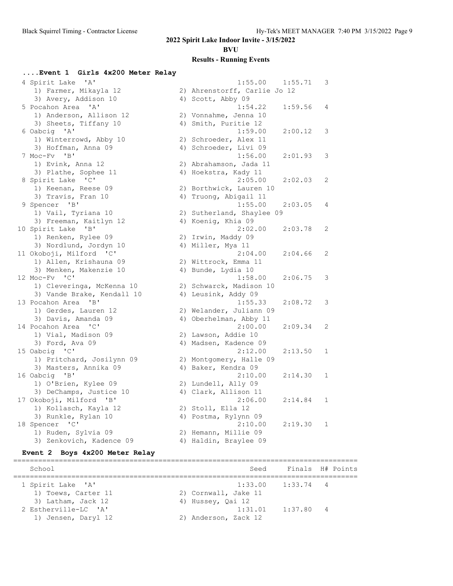**BVU**

## **Results - Running Events**

## **....Event 1 Girls 4x200 Meter Relay**

| 4 Spirit Lake 'A'                               | 1:55.00                                       | 1:55.71 | 3            |
|-------------------------------------------------|-----------------------------------------------|---------|--------------|
| 1) Farmer, Mikayla 12                           | 2) Ahrenstorff, Carlie Jo 12                  |         |              |
| 3) Avery, Addison 10                            | 4) Scott, Abby 09                             |         |              |
| 5 Pocahon Area 'A'                              | 1:54.22                                       | 1:59.56 | 4            |
| 1) Anderson, Allison 12                         | 2) Vonnahme, Jenna 10                         |         |              |
| 3) Sheets, Tiffany 10                           | 4) Smith, Puritie 12                          |         |              |
| 6 Oabcig 'A'                                    | 1:59.00                                       | 2:00.12 | 3            |
| 1) Winterrowd, Abby 10                          | 2) Schroeder, Alex 11                         |         |              |
| 3) Hoffman, Anna 09                             | 4) Schroeder, Livi 09                         |         |              |
| 7 Moc-Fv 'B'                                    | 1:56.00                                       | 2:01.93 | 3            |
| 1) Evink, Anna 12                               | 2) Abrahamson, Jada 11                        |         |              |
| 3) Plathe, Sophee 11                            | 4) Hoekstra, Kady 11                          |         |              |
| 8 Spirit Lake 'C'                               | 2:05.00                                       | 2:02.03 | 2            |
| 1) Keenan, Reese 09                             | 2) Borthwick, Lauren 10                       |         |              |
| 3) Travis, Fran 10                              | 4) Truong, Abigail 11                         |         |              |
| 9 Spencer 'B'                                   | 1:55.00                                       | 2:03.05 | 4            |
| 1) Vail, Tyriana 10                             | 2) Sutherland, Shaylee 09                     |         |              |
| 3) Freeman, Kaitlyn 12                          | 4) Koenig, Khia 09                            |         |              |
| 10 Spirit Lake 'B'                              | 2:02.00                                       | 2:03.78 | 2            |
| 1) Renken, Rylee 09                             | 2) Irwin, Maddy 09                            |         |              |
| 3) Nordlund, Jordyn 10                          | 4) Miller, Mya 11                             |         |              |
| 11 Okoboji, Milford 'C'                         | 2:04.00                                       | 2:04.66 | 2            |
| 1) Allen, Krishauna 09                          | 2) Wittrock, Emma 11                          |         |              |
| 3) Menken, Makenzie 10                          | 4) Bunde, Lydia 10                            |         |              |
| 12 Moc-Fy 'C'                                   | 1:58.00                                       | 2:06.75 | 3            |
| 1) Cleveringa, McKenna 10                       | 2) Schwarck, Madison 10                       |         |              |
| 3) Vande Brake, Kendall 10                      | 4) Leusink, Addy 09                           |         |              |
| 13 Pocahon Area 'B'                             | 1:55.33                                       | 2:08.72 | 3            |
| 1) Gerdes, Lauren 12                            | 2) Welander, Juliann 09                       |         |              |
| 3) Davis, Amanda 09                             | 4) Oberhelman, Abby 11                        |         |              |
| 14 Pocahon Area 'C'                             | 2:00.00                                       | 2:09.34 | 2            |
| 1) Vial, Madison 09                             | 2) Lawson, Addie 10                           |         |              |
| 3) Ford, Ava 09                                 | 4) Madsen, Kadence 09                         |         |              |
| 15 Oabcig 'C'                                   | 2:12.00                                       | 2:13.50 | 1            |
| 1) Pritchard, Josilynn 09                       | 2) Montgomery, Halle 09                       |         |              |
| 3) Masters, Annika 09                           | 4) Baker, Kendra 09                           |         |              |
| 16 Oabcig 'B'                                   | 2:10.00                                       | 2:14.30 | 1            |
| 1) O'Brien, Kylee 09                            | 2) Lundell, Ally 09                           |         |              |
| 3) DeChamps, Justice 10                         | 4) Clark, Allison 11                          |         |              |
| 17 Okoboji, Milford 'B'                         | 2:06.00                                       | 2:14.84 | $\mathbf{1}$ |
| 1) Kollasch, Kayla 12                           | 2) Stoll, Ella 12                             |         |              |
| 3) Runkle, Rylan 10<br>18 Spencer 'C'           | 4) Postma, Rylynn 09<br>2:10.00               | 2:19.30 | 1            |
|                                                 |                                               |         |              |
| 1) Ruden, Sylvia 09<br>3) Zenkovich, Kadence 09 | 2) Hemann, Millie 09<br>4) Haldin, Braylee 09 |         |              |
|                                                 |                                               |         |              |

## **Event 2 Boys 4x200 Meter Relay**

| School               | Seed                 | Finals H# Points |  |
|----------------------|----------------------|------------------|--|
| 1 Spirit Lake 'A'    | 1:33.00              | $1:33.74$ 4      |  |
| 1) Toews, Carter 11  | 2) Cornwall, Jake 11 |                  |  |
| 3) Latham, Jack 12   | 4) Hussey, Qai 12    |                  |  |
| 2 Estherville-LC 'A' | 1:31.01              | $1:37.80$ 4      |  |
| 1) Jensen, Daryl 12  | 2) Anderson, Zack 12 |                  |  |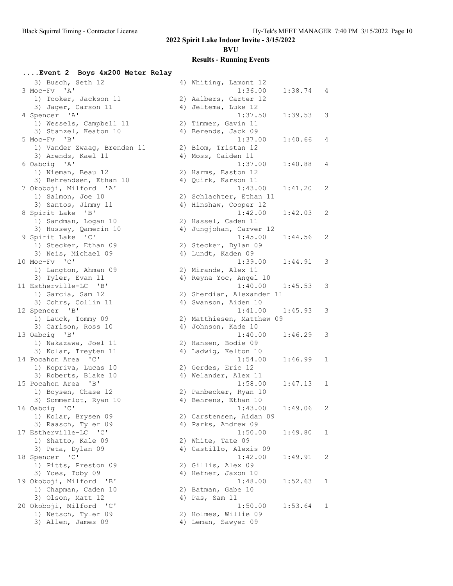**BVU**

| Event 2 Boys 4x200 Meter Relay       |                               |              |
|--------------------------------------|-------------------------------|--------------|
| 3) Busch, Seth 12                    | 4) Whiting, Lamont 12         |              |
| 3 Moc-Fv 'A'                         | 1:36.00<br>1:38.74            | 4            |
| 1) Tooker, Jackson 11                | 2) Aalbers, Carter 12         |              |
| 3) Jager, Carson 11                  | 4) Jeltema, Luke 12           |              |
| 4 Spencer 'A'                        | 1:37.50<br>1:39.53            | 3            |
| 1) Wessels, Campbell 11              | 2) Timmer, Gavin 11           |              |
| 3) Stanzel, Keaton 10                | 4) Berends, Jack 09           |              |
| 5 Moc-Fv 'B'                         | 1:37.00<br>1:40.66            | 4            |
| 1) Vander Zwaag, Brenden 11          | 2) Blom, Tristan 12           |              |
| 3) Arends, Kael 11                   | 4) Moss, Caiden 11            |              |
| 6 Oabcig 'A'                         | 1:37.00<br>1:40.88            | 4            |
| 1) Nieman, Beau 12                   | 2) Harms, Easton 12           |              |
| 3) Behrendsen, Ethan 10              | 4) Quirk, Karson 11           |              |
| 7 Okoboji, Milford 'A'               | 1:43.00<br>1:41.20            | 2            |
| 1) Salmon, Joe 10                    | 2) Schlachter, Ethan 11       |              |
| 3) Santos, Jimmy 11                  | 4) Hinshaw, Cooper 12         |              |
| 8 Spirit Lake 'B'                    | 1:42.00<br>1:42.03            | 2            |
| 1) Sandman, Logan 10                 | 2) Hassel, Caden 11           |              |
| 3) Hussey, Qamerin 10                | 4) Jungjohan, Carver 12       |              |
| 9 Spirit Lake 'C'                    | 1:45.00<br>1:44.56            | 2            |
| 1) Stecker, Ethan 09                 |                               |              |
|                                      | 2) Stecker, Dylan 09          |              |
| 3) Neis, Michael 09<br>10 Moc-Fv 'C' | 4) Lundt, Kaden 09<br>1:39.00 |              |
|                                      | 1:44.91                       | 3            |
| 1) Langton, Ahman 09                 | 2) Mirande, Alex 11           |              |
| 3) Tyler, Evan 11                    | 4) Reyna Yoc, Angel 10        |              |
| 11 Estherville-LC 'B'                | 1:40.00<br>1:45.53            | 3            |
| 1) Garcia, Sam 12                    | 2) Sherdian, Alexander 11     |              |
| 3) Cohrs, Collin 11                  | 4) Swanson, Aiden 10          |              |
| 12 Spencer 'B'                       | 1:41.00<br>1:45.93            | 3            |
| 1) Lauck, Tommy 09                   | 2) Matthiesen, Matthew 09     |              |
| 3) Carlson, Ross 10                  | 4) Johnson, Kade 10           |              |
| 13 Oabcig 'B'                        | 1:40.00<br>1:46.29            | 3            |
| 1) Nakazawa, Joel 11                 | 2) Hansen, Bodie 09           |              |
| 3) Kolar, Treyten 11                 | 4) Ladwig, Kelton 10          |              |
| 14 Pocahon Area 'C'                  | 1:54.00<br>1:46.99            | 1            |
| 1) Kopriva, Lucas 10                 | 2) Gerdes, Eric 12            |              |
| 3) Roberts, Blake 10                 | 4) Welander, Alex 11          |              |
| 15 Pocahon Area 'B'                  | 1:58.00<br>1:47.13            | 1            |
| 1) Boysen, Chase 12                  | 2) Panbecker, Ryan 10         |              |
| 3) Sommerlot, Ryan 10                | 4) Behrens, Ethan 10          |              |
| 16 Oabcig 'C'                        | 1:43.00<br>1:49.06            | 2            |
| 1) Kolar, Brysen 09                  | 2) Carstensen, Aidan 09       |              |
| 3) Raasch, Tyler 09                  | 4) Parks, Andrew 09           |              |
| 17 Estherville-LC 'C'                | 1:50.00<br>1:49.80            | $\mathbf{1}$ |
| 1) Shatto, Kale 09                   | 2) White, Tate 09             |              |
| 3) Peta, Dylan 09                    | 4) Castillo, Alexis 09        |              |
| 18 Spencer 'C'                       | 1:42.00<br>1:49.91            | 2            |
| 1) Pitts, Preston 09                 | 2) Gillis, Alex 09            |              |
| 3) Yoes, Toby 09                     | 4) Hefner, Jaxon 10           |              |
| 19 Okoboji, Milford 'B'              | 1:48.00<br>1:52.63            | 1            |
| 1) Chapman, Caden 10                 | 2) Batman, Gabe 10            |              |
| 3) Olson, Matt 12                    | 4) Pas, Sam 11                |              |
| 20 Okoboji, Milford 'C'              | 1:50.00<br>1:53.64            | 1            |
| 1) Netsch, Tyler 09                  | 2) Holmes, Willie 09          |              |
| 3) Allen, James 09                   | 4) Leman, Sawyer 09           |              |
|                                      |                               |              |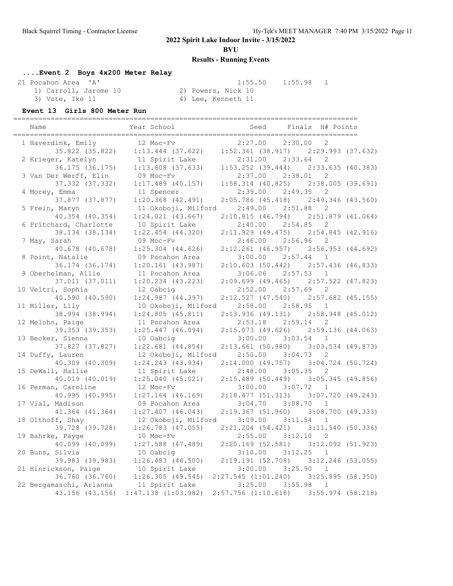**BVU**

## **Results - Running Events**

## **....Event 2 Boys 4x200 Meter Relay**

 21 Pocahon Area 'A' 1:55.50 1:55.98 1 1) Carroll, Jarome 10<br>3) Vote, Ike 11

4) Lee, Kenneth 11

### **Event 13 Girls 800 Meter Run**

| Name                    | Year School             | Seed                  | Finals H# Points                              |  |
|-------------------------|-------------------------|-----------------------|-----------------------------------------------|--|
| 1 Haverdink, Emily      | 12 Moc-Fv               | 2:27.00               | $\overline{2}$<br>2:30.00                     |  |
| 35.822 (35.822)         | $1:13.444$ (37.622)     | $1:52.361$ (38.917)   | $2:29.993$ $(37.632)$                         |  |
| 2 Krieger, Katelyn      | 11 Spirit Lake          | 2:31.00               | 2:33.64<br>2                                  |  |
| 36.175 (36.175)         | $1:13.808$ $(37.633)$   | $1:53.252$ (39.444)   | 2:33.635 (40.383)                             |  |
| 3 Van Der Werff, Elin   | 09 Moc-Fv               | 2:37.00               | 2:38.01<br>2                                  |  |
| 37.332 (37.332)         | $1:17.489$ (40.157)     | $1:58.314$ (40.825)   | 2:38.005 (39.691)                             |  |
| 4 Morey, Emma           | 11 Spencer              | 2:39.00               | 2:49.35<br>2                                  |  |
| 37.877 (37.877)         | $1:20.368$ $(42.491)$   |                       | 2:05.786 (45.418) 2:49.346 (43.560)           |  |
| 5 Frein, Maryn          | 11 Okoboji, Milford     | 2:49.00               | 2:51.88<br>2                                  |  |
| 40.354 (40.354)         | $1:24.021$ $(43.667)$   | 2:10.815(46.794)      | $2:51.879$ (41.064)                           |  |
| 6 Pritchard, Charlotte  | 10 Spirit Lake          | 2:40.00               | 2:54.85<br>2                                  |  |
| 38.134 (38.134)         | $1:22.454$ $(44.320)$   | $2:11.929$ (49.475)   | 2:54.845 (42.916)                             |  |
| 7 May, Sarah            | 09 Moc-Fv               | 2:46.00               | 2:56.96<br>2                                  |  |
| 40.678 (40.678)         | $1:25.304$ $(44.626)$   | $2:12.261$ (46.957)   | 2:56.953 (44.692)                             |  |
| 8 Point, Natalie        | 09 Pocahon Area         | 3:00.00               | 2:57.44<br>1                                  |  |
| 36.174 (36.174)         | $1:20.161$ $(43.987)$   | 2:10.603(50.442)      | 2:57.436 (46.833)                             |  |
| 9 Oberhelman, Allie     | 11 Pocahon Area         | 3:06.06               | 2:57.53<br>$\overline{1}$                     |  |
| 37.011 (37.011)         | $1:20.234$ $(43.223)$   |                       | $2:09.699$ (49.465) $2:57.522$ (47.823)       |  |
| 10 Veltri, Sophia       | 12 Oabcig               | 2:52.00               | 2:57.69<br>2                                  |  |
| 40.590 (40.590)         | 1:24.987(44.397)        |                       | $2:12.527$ (47.540) $2:57.682$ (45.155)       |  |
| 11 Miller, Lily         | 10 Okoboji, Milford     | 2:58.00               | 2:58.95<br>1                                  |  |
| 38.994 (38.994)         | 1:24.805(45.811)        | 2:13.936(49.131)      | 2:58.948 (45.012)                             |  |
| 12 Melohn, Paige        | 11 Pocahon Area         | 2:53.18               | 2:59.14<br>2                                  |  |
| 39.353 (39.353)         | $1:25.447$ (46.094)     |                       | 2:15.073 (49.626) 2:59.136 (44.063)           |  |
| 13 Becker, Sienna       | 10 Oabcig               | 3:00.00               | 3:03.54<br>$\mathbf{1}$                       |  |
| 37.827 (37.827)         | $1:22.681$ $(44.854)$   | 2:13.661(50.980)      | $3:03.534$ (49.873)                           |  |
| 14 Duffy, Lauren        | 12 Okoboji, Milford     | 2:50.00               | 3:04.73<br>2                                  |  |
| 40.309 (40.309)         | $1:24.243$ $(43.934)$   | 2:14.000(49.757)      | $3:04.724$ (50.724)                           |  |
| 15 DeWall, Hallie       | 11 Spirit Lake          | 2:48.00               | 3:05.35<br>2                                  |  |
| 40.019 (40.019)         | $1:25.040$ (45.021)     | 2:15.489(50.449)      | $3:05.345$ (49.856)                           |  |
| 16 Perman, Caroline     | 12 Moc-Fv               | 3:00.00               | 3:07.72 1                                     |  |
| 40.995 (40.995)         | $1:27.164$ (46.169)     | 2:18.477(51.313)      | 3:07.720 (49.243)                             |  |
| 17 Vial, Madison        | 09 Pocahon Area         | 3:04.70               | 3:08.70<br>1                                  |  |
| 41.364 (41.364)         | $1:27.407$ (46.043)     | 2:19.367(51.960)      | $3:08.700$ (49.333)                           |  |
| 18 Olthoff, Shay        | 12 Okoboji, Milford     | 3:09.00               | 3:11.54<br>$\mathbf{1}$                       |  |
| 39.728 (39.728)         | $1:26.783$ $(47.055)$   | $2:21.204$ $(54.421)$ | 3:11.540(50.336)                              |  |
| 19 Bahrke, Payge        | 10 Moc-Fv               | 2:55.00               | 2<br>3:12.10                                  |  |
| 40.099 (40.099)         | $1:27.588$ (47.489)     |                       | $2:20.169$ (52.581) 3:12.092 (51.923)         |  |
| 20 Buns, Silvia         | 10 Oabcig               | 3:10.00               | 3:12.25<br>$\mathbf{1}$                       |  |
| 39.983 (39.983)         | $1:26.483$ $(46.500)$   | 2:19.191(52.708)      | $3:12.246$ (53.055)                           |  |
| 21 Hinrickson, Paige    | 10 Spirit Lake          | 3:00.00               | 3:25.90<br>1                                  |  |
| 36.760 (36.760)         | 1:26.305(49.545)        |                       | $2:27.545$ $(1:01.240)$ $3:25.895$ $(58.350)$ |  |
| 22 Bergamaschi, Arianna | 11 Spirit Lake          | 3:25.00               | 3:55.98<br>$\mathbf{1}$                       |  |
| 43.156 (43.156)         | $1:47.138$ $(1:03.982)$ |                       | 2:57.756 (1:10.618) 3:55.974 (58.218)         |  |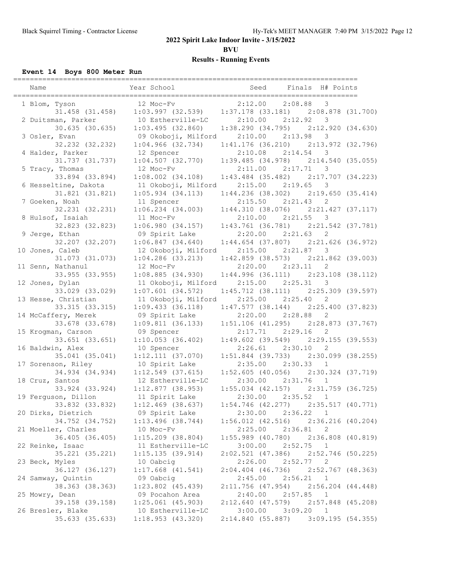**BVU**

## **Results - Running Events**

## **Event 14 Boys 800 Meter Run**

| Name                                 | Year School                           | Seed                           | Finals H# Points                                        |  |
|--------------------------------------|---------------------------------------|--------------------------------|---------------------------------------------------------|--|
| 1 Blom, Tyson                        | 12 Moc-Fv                             | 2:12.00                        | 2:08.88<br>3                                            |  |
| 31.458 (31.458)                      | 1:03.997(32.539)                      |                                | $1:37.178$ (33.181) $2:08.878$ (31.700)                 |  |
| 2 Duitsman, Parker                   | 10 Estherville-LC                     | 2:10.00                        | 2:12.92<br>3                                            |  |
| 30.635 (30.635)                      | 1:03.495(32.860)                      |                                | $1:38.290(34.795)$ $2:12.920(34.630)$                   |  |
| 3 Osler, Evan                        | 09 Okoboji, Milford                   | 2:10.00                        | 2:13.98<br>3                                            |  |
| 32.232 (32.232)                      | $1:04.966$ (32.734)                   | 1:41.176(36.210)               | 2:13.972 (32.796)                                       |  |
| 4 Halder, Parker                     | 12 Spencer                            | 2:10.08                        | 2:14.54<br>3                                            |  |
| 31.737 (31.737)<br>5 Tracy, Thomas   | $1:04.507$ (32.770)<br>12 Moc-Fv      | 2:11.00                        | $1:39.485$ (34.978) $2:14.540$ (35.055)<br>2:17.71<br>3 |  |
| 33.894 (33.894)                      | $1:08.002$ $(34.108)$                 |                                | $1:43.484$ (35.482) $2:17.707$ (34.223)                 |  |
| 6 Hesseltine, Dakota                 | 11 Okoboji, Milford                   | 2:15.00                        | 2:19.65<br>3                                            |  |
| 31.821 (31.821)                      | $1:05.934$ $(34.113)$                 |                                | $1:44.236$ (38.302) $2:19.650$ (35.414)                 |  |
| 7 Goeken, Noah                       | 11 Spencer                            | 2:15.50                        | 2:21.43<br>$\overline{c}$                               |  |
| 32.231 (32.231)                      | $1:06.234$ (34.003)                   |                                | $1:44.310$ (38.076) $2:21.427$ (37.117)                 |  |
| 8 Hulsof, Isaiah                     | 11 Moc-Fv                             | 2:10.00                        | 2:21.55<br>3                                            |  |
| 32.823 (32.823)                      | 1:06.980(34.157)                      |                                | $1:43.761$ (36.781) $2:21.542$ (37.781)                 |  |
| 9 Jerge, Ethan                       | 09 Spirit Lake                        | 2:20.00                        | 2:21.63<br>$\mathbf{2}$                                 |  |
| 32.207 (32.207)                      | $1:06.847$ (34.640)                   | $1:44.654$ (37.807)            | $2:21.626$ (36.972)                                     |  |
| 10 Jones, Caleb                      | 12 Okoboji, Milford                   | 2:15.00                        | 2:21.87<br>-3                                           |  |
| 31.073 (31.073)                      | $1:04.286$ (33.213)                   |                                | $1:42.859$ (38.573) $2:21.862$ (39.003)                 |  |
| 11 Senn, Nathanul                    | 12 Moc-Fv                             | 2:20.00                        | 2:23.11<br>2                                            |  |
| 33.955 (33.955)                      | 1:08.885(34.930)                      |                                | $1:44.996$ (36.111) $2:23.108$ (38.112)                 |  |
| 12 Jones, Dylan                      | 11 Okoboji, Milford                   | 2:15.00                        | 2:25.31<br>3                                            |  |
| 33.029 (33.029)                      | $1:07.601$ (34.572)                   |                                | $1:45.712$ (38.111) $2:25.309$ (39.597)                 |  |
| 13 Hesse, Christian                  | 11 Okoboji, Milford                   | 2:25.00                        | 2:25.40<br>$\overline{c}$                               |  |
| 33.315 (33.315)                      | $1:09.433$ (36.118)                   |                                | $1:47.577$ (38.144) $2:25.400$ (37.823)                 |  |
| 14 McCaffery, Merek                  | 09 Spirit Lake                        | 2:20.00                        | 2:28.88<br>$\mathbf{2}$                                 |  |
| 33.678 (33.678)                      | 1:09.811(36.133)                      |                                | $1:51.106$ (41.295) $2:28.873$ (37.767)                 |  |
| 15 Krogman, Carson                   | 09 Spencer                            | 2:17.71                        | 2:29.16<br>2<br>2:29.155(39.553)                        |  |
| 33.651 (33.651)<br>16 Baldwin, Alex  | $1:10.053$ (36.402)<br>10 Spencer     | $1:49.602$ (39.549)<br>2:26.61 | 2:30.10<br>2                                            |  |
| $35.041$ $(35.041)$                  | $1:12.111$ (37.070)                   |                                | $1:51.844$ (39.733) $2:30.099$ (38.255)                 |  |
| 17 Sorenson, Riley                   | 10 Spirit Lake                        | 2:35.00                        | 2:30.33<br>$\overline{1}$                               |  |
| 34.934 (34.934)                      | $1:12.549$ (37.615)                   |                                | $1:52.605$ (40.056) $2:30.324$ (37.719)                 |  |
| 18 Cruz, Santos                      | 12 Estherville-LC                     | 2:30.00                        | 2:31.76<br>$\mathbf{1}$                                 |  |
| 33.924 (33.924)                      | 1:12.877(38.953)                      |                                | $1:55.034$ (42.157) $2:31.759$ (36.725)                 |  |
| 19 Ferguson, Dillon                  | 11 Spirit Lake                        |                                | $2:30.00$ $2:35.52$<br>$\mathbf{1}$                     |  |
| 33.832 (33.832)                      | $1:12.469$ (38.637)                   |                                | $1:54.746$ (42.277) $2:35.517$ (40.771)                 |  |
| 20 Dirks, Dietrich                   | 09 Spirit Lake                        | 2:30.00                        | 2:36.22 1                                               |  |
| 34.752 (34.752)                      | $1:13.496$ (38.744)                   |                                | $1:56.012$ (42.516) $2:36.216$ (40.204)                 |  |
| 21 Moeller, Charles                  | 10 Moc-Fv                             | 2:25.00                        | 2:36.81<br>2                                            |  |
| 36.405 (36.405)                      | $1:15.209$ (38.804)                   |                                | $1:55.989$ (40.780) $2:36.808$ (40.819)                 |  |
| 22 Reinke, Isaac                     | 11 Estherville-LC                     | 3:00.00                        | 2:52.75<br>-1                                           |  |
| 35.221 (35.221)                      | 1:15.135(39.914)                      |                                | $2:02.521$ (47.386) $2:52.746$ (50.225)                 |  |
| 23 Beck, Myles                       | 10 Oabcig                             | 2:26.00                        | 2:52.77<br>$\overline{c}$                               |  |
| 36.127 (36.127)                      | $1:17.668$ (41.541)                   | $2:04.404$ (46.736)            | 2:52.767 (48.363)                                       |  |
| 24 Samway, Quintin                   | 09 Oabcig                             | 2:45.00                        | 2:56.21<br>$\mathbf{1}$                                 |  |
| 38.363 (38.363)                      | $1:23.802$ (45.439)                   | $2:11.756$ (47.954)            | $2:56.204$ $(44.448)$                                   |  |
| 25 Mowry, Dean                       | 09 Pocahon Area                       | 2:40.00                        | 2:57.85<br>$\mathbf{1}$                                 |  |
| 39.158 (39.158)<br>26 Bresler, Blake | $1:25.061$ (45.903)                   |                                | $2:12.640$ (47.579) $2:57.848$ (45.208)<br>3:09.20 1    |  |
| 35.633 (35.633)                      | 10 Estherville-LC<br>1:18.953(43.320) | 3:00.00<br>2:14.840(55.887)    | 3:09.195(54.355)                                        |  |
|                                      |                                       |                                |                                                         |  |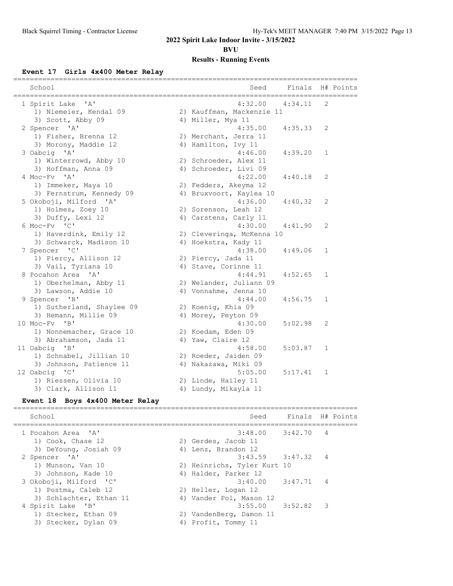**BVU**

### **Results - Running Events**

#### **Event 17 Girls 4x400 Meter Relay**

| School                                  | Seed                      | Finals  |              | H# Points |
|-----------------------------------------|---------------------------|---------|--------------|-----------|
| 1 Spirit Lake 'A'                       | 4:32.00                   | 4:34.11 | 2            |           |
| 1) Niemeier, Kendal 09                  | 2) Kauffman, Mackenzie 11 |         |              |           |
| 3) Scott, Abby 09                       | 4) Miller, Mya 11         |         |              |           |
| 2 Spencer 'A'                           | 4:35.00                   | 4:35.33 | 2            |           |
| 1) Fisher, Brenna 12                    | 2) Merchant, Jerra 11     |         |              |           |
| 3) Morony, Maddie 12                    | 4) Hamilton, Ivy 11       |         |              |           |
| 3 Oabcig 'A'                            | 4:46.00                   | 4:39.20 | $\mathbf{1}$ |           |
| 1) Winterrowd, Abby 10                  | 2) Schroeder, Alex 11     |         |              |           |
| 3) Hoffman, Anna 09                     | 4) Schroeder, Livi 09     |         |              |           |
| 4 Moc-Fv 'A'                            | 4:22.00                   | 4:40.18 | 2            |           |
| 1) Immeker, Maya 10                     | 2) Fedders, Akeyma 12     |         |              |           |
| 3) Fernstrum, Kennedy 09                | 4) Bruxvoort, Kaylea 10   |         |              |           |
| 5 Okoboji, Milford 'A'                  | 4:36.00                   | 4:40.32 | 2            |           |
| 1) Holmes, Zoey 10                      | 2) Sorenson, Leah 12      |         |              |           |
| 3) Duffy, Lexi 12                       | 4) Carstens, Carly 11     |         |              |           |
| 6 Moc-Fv 'C'                            | 4:30.00                   | 4:41.90 | 2            |           |
| 1) Haverdink, Emily 12                  | 2) Cleveringa, McKenna 10 |         |              |           |
| 3) Schwarck, Madison 10                 | 4) Hoekstra, Kady 11      |         |              |           |
| 7 Spencer 'C'                           | 4:38.00                   | 4:49.06 | $\mathbf{1}$ |           |
| 1) Piercy, Allison 12                   | 2) Piercy, Jada 11        |         |              |           |
| 3) Vail, Tyriana 10                     | 4) Stave, Corinne 11      |         |              |           |
| 8 Pocahon Area 'A'                      | 4:44.91                   | 4:52.65 | 1            |           |
| 1) Oberhelman, Abby 11                  | 2) Welander, Juliann 09   |         |              |           |
| 3) Lawson, Addie 10                     | 4) Vonnahme, Jenna 10     |         |              |           |
| 9 Spencer<br>"B"                        | 4:44.00                   | 4:56.75 | 1            |           |
| 1) Sutherland, Shaylee 09               | 2) Koenig, Khia 09        |         |              |           |
| 3) Hemann, Millie 09                    | 4) Morey, Peyton 09       |         |              |           |
| 10 Moc-Fv<br>$^{\prime}$ B <sup>1</sup> | 4:30.00                   | 5:02.98 | 2            |           |
| 1) Nonnemacher, Grace 10                | 2) Koedam, Eden 09        |         |              |           |
| 3) Abrahamson, Jada 11                  | 4) Yaw, Claire 12         |         |              |           |
| 11 Oabcig 'B'                           | 4:58.00                   | 5:03.87 | 1            |           |
| 1) Schnabel, Jillian 10                 | 2) Roeder, Jaiden 09      |         |              |           |
| 3) Johnson, Patience 11                 | 4) Nakazawa, Miki 09      |         |              |           |
| 12 Oabcig 'C'                           | 5:05.00                   | 5:17.41 | 1            |           |
| 1) Riessen, Olivia 10                   | 2) Linde, Hailey 11       |         |              |           |
| 3) Clark, Allison 11                    | 4) Lundy, Mikayla 11      |         |              |           |
|                                         |                           |         |              |           |

### **Event 18 Boys 4x400 Meter Relay**

=================================================================================== School School Seed Finals H# Points =================================================================================== 1 Pocahon Area 'A' 3:48.00 3:42.70 4 1) Cook, Chase 12 2) Gerdes, Jacob 11 3) DeYoung, Josiah 09 (4) Lenz, Brandon 12 2 Spencer 'A' 3:43.59 3:47.32 4 1) Munson, Van 10 2) Heinrichs, Tyler Kurt 10 3) Johnson, Kade 10 4) Halder, Parker 12 3 Okoboji, Milford 'C' 3:40.00 3:47.71 4 1) Postma, Caleb 12 2) Heller, Logan 12 3) Schlachter, Ethan 11 4) Vander Pol, Mason 12 4 Spirit Lake 'B' 3:55.00 3:52.82 3 1) Stecker, Ethan 09 2) VandenBerg, Damon 11 3) Stecker, Dylan 09 (4) Profit, Tommy 11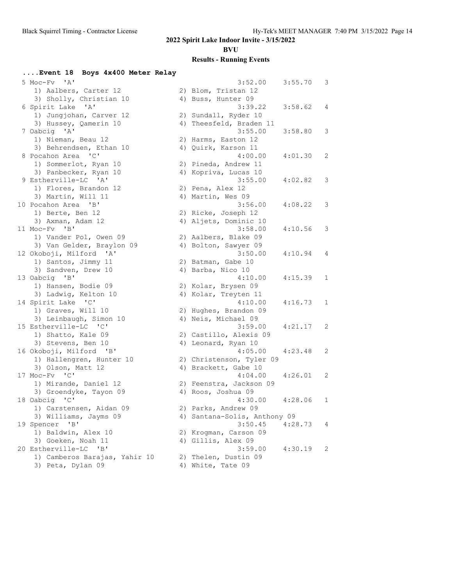**BVU**

| Event 18 Boys 4x400 Meter Relay |                              |         |              |
|---------------------------------|------------------------------|---------|--------------|
| 5 Moc-Fy 'A'                    | 3:52.00                      | 3:55.70 | 3            |
| 1) Aalbers, Carter 12           | 2) Blom, Tristan 12          |         |              |
| 3) Sholly, Christian 10         | 4) Buss, Hunter 09           |         |              |
| 6 Spirit Lake 'A'               | 3:39.22                      | 3:58.62 | 4            |
| 1) Jungjohan, Carver 12         | 2) Sundall, Ryder 10         |         |              |
| 3) Hussey, Qamerin 10           | 4) Theesfeld, Braden 11      |         |              |
| 7 Oabcig 'A'                    | 3:55.00                      | 3:58.80 | 3            |
| 1) Nieman, Beau 12              | 2) Harms, Easton 12          |         |              |
| 3) Behrendsen, Ethan 10         | 4) Quirk, Karson 11          |         |              |
| 8 Pocahon Area 'C'              | 4:00.00                      | 4:01.30 | 2            |
| 1) Sommerlot, Ryan 10           | 2) Pineda, Andrew 11         |         |              |
| 3) Panbecker, Ryan 10           | 4) Kopriva, Lucas 10         |         |              |
| 9 Estherville-LC 'A'            | 3:55.00                      | 4:02.82 | 3            |
| 1) Flores, Brandon 12           | 2) Pena, Alex 12             |         |              |
| 3) Martin, Will 11              | 4) Martin, Wes 09            |         |              |
| 10 Pocahon Area 'B'             | 3:56.00                      | 4:08.22 | 3            |
| 1) Berte, Ben 12                | 2) Ricke, Joseph 12          |         |              |
| 3) Axman, Adam 12               | 4) Aljets, Dominic 10        |         |              |
| 11 Moc-Fv 'B'                   | 3:58.00                      | 4:10.56 | 3            |
| 1) Vander Pol, Owen 09          | 2) Aalbers, Blake 09         |         |              |
| 3) Van Gelder, Braylon 09       | 4) Bolton, Sawyer 09         |         |              |
| 12 Okoboji, Milford 'A'         | 3:50.00                      | 4:10.94 | 4            |
| 1) Santos, Jimmy 11             | 2) Batman, Gabe 10           |         |              |
| 3) Sandven, Drew 10             | 4) Barba, Nico 10            |         |              |
| 13 Oabcig 'B'                   | 4:10.00                      | 4:15.39 | $\mathbf{1}$ |
| 1) Hansen, Bodie 09             | 2) Kolar, Brysen 09          |         |              |
| 3) Ladwig, Kelton 10            | 4) Kolar, Treyten 11         |         |              |
| 14 Spirit Lake 'C'              | 4:10.00                      | 4:16.73 | 1            |
| 1) Graves, Will 10              | 2) Hughes, Brandon 09        |         |              |
| 3) Leinbaugh, Simon 10          | 4) Neis, Michael 09          |         |              |
| 15 Estherville-LC 'C'           | 3:59.00                      | 4:21.17 | 2            |
| 1) Shatto, Kale 09              | 2) Castillo, Alexis 09       |         |              |
| 3) Stevens, Ben 10              | 4) Leonard, Ryan 10          |         |              |
| 16 Okoboji, Milford 'B'         | 4:05.00                      | 4:23.48 | 2            |
| 1) Hallengren, Hunter 10        | 2) Christenson, Tyler 09     |         |              |
| 3) Olson, Matt 12               | 4) Brackett, Gabe 10         |         |              |
| 17 Moc-Fv 'C'                   | 4:04.00                      | 4:26.01 | 2            |
| 1) Mirande, Daniel 12           | 2) Feenstra, Jackson 09      |         |              |
| 3) Groendyke, Tayon 09          | 4) Roos, Joshua 09           |         |              |
| 18 Oabcig 'C'                   | 4:30.00                      | 4:28.06 | 1            |
| 1) Carstensen, Aidan 09         | 2) Parks, Andrew 09          |         |              |
| 3) Williams, Jayms 09           | 4) Santana-Solis, Anthony 09 |         |              |
| 19 Spencer<br>$\mathbf{B}$      | 3:50.45                      | 4:28.73 | 4            |
| 1) Baldwin, Alex 10             | 2) Krogman, Carson 09        |         |              |
| 3) Goeken, Noah 11              | 4) Gillis, Alex 09           |         |              |
| 20 Estherville-LC 'B'           | 3:59.00                      | 4:30.19 | 2            |
| 1) Camberos Barajas, Yahir 10   | 2) Thelen, Dustin 09         |         |              |
| 3) Peta, Dylan 09               | 4) White, Tate 09            |         |              |
|                                 |                              |         |              |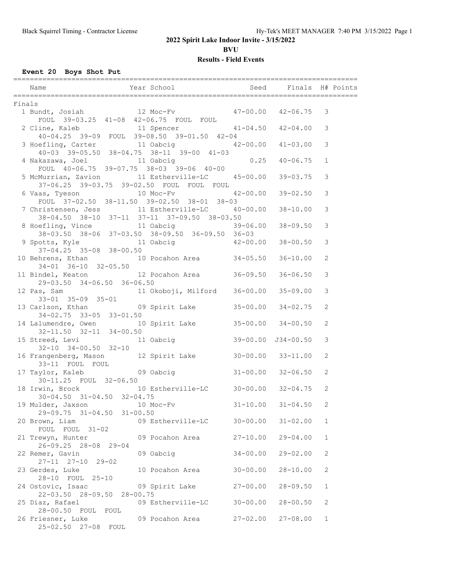**BVU**

## **Results - Field Events**

## **Event 20 Boys Shot Put**

|        | Year School Seed Finals H# Points<br>Name                                                                                         |              |              |                |  |
|--------|-----------------------------------------------------------------------------------------------------------------------------------|--------------|--------------|----------------|--|
| Finals |                                                                                                                                   |              |              |                |  |
|        | 1 Bundt, Josiah 12 Moc-Fv 47-00.00 42-06.75<br>FOUL 39-03.25 41-08 42-06.75 FOUL FOUL                                             |              |              | 3              |  |
|        | 2 Cline, Kaleb 11 Spencer 41-04.50 42-04.00<br>$40-04.25$ 39-09 FOUL 39-08.50 39-01.50 42-04                                      |              |              | 3              |  |
|        | 3 Hoefling, Carter 11 Oabcig 42-00.00 41-03.00                                                                                    |              |              | 3              |  |
|        | 40-03 39-05.50 38-04.75 38-11 39-00 41-03<br>4 Nakazawa, Joel 11 Oabcig 0.25 40-06.75<br>FOUL 40-06.75 39-07.75 38-03 39-06 40-00 |              |              | $\mathbf{1}$   |  |
|        | 5 McMurrian, Zavion 11 Estherville-LC 45-00.00 39-03.75<br>37-06.25 39-03.75 39-02.50 FOUL FOUL FOUL                              |              |              | 3              |  |
|        | 6 Vaas, Tyeson 10 Moc-Fv 42-00.00<br>FOUL 37-02.50 38-11.50 39-02.50 38-01 38-03                                                  |              | $39 - 02.50$ | 3              |  |
|        | 7 Christensen, Jess 11 Estherville-LC 40-00.00 38-10.00<br>$38-04.50$ $38-10$ $37-11$ $37-11$ $37-09.50$ $38-03.50$               |              |              | 3              |  |
|        | 8 Hoefling, Vince 11 Oabcig 39-06.00 38-09.50<br>$38-03.50$ $38-06$ $37-03.50$ $38-09.50$ $36-09.50$ $36-03$                      |              |              | 3              |  |
|        | 9 Spotts, Kyle 11 Oabcig 42-00.00 38-00.50<br>$37-04.25$ $35-08$ $38-00.50$                                                       |              |              | 3              |  |
|        | 10 Behrens, Ethan 10 Pocahon Area 34-05.50 36-10.00<br>$34 - 01$ $36 - 10$ $32 - 05.50$                                           |              |              | 2              |  |
|        | 11 Bindel, Keaton 12 Pocahon Area 36-09.50 36-06.50<br>29-03.50 34-06.50 36-06.50                                                 |              |              | 3              |  |
|        | 12 Pas, Sam Manuel 11 Okoboji, Milford 36-00.00 35-09.00                                                                          |              |              | 3              |  |
|        | 33-01 35-09 35-01<br>13 Carlson, Ethan 09 Spirit Lake 35-00.00 34-02.75<br>34-02.75 33-05 33-01.50                                |              |              | 2              |  |
|        | 14 Lalumendre, Owen 10 Spirit Lake 35-00.00 34-00.50<br>$32 - 11.50$ $32 - 11$ $34 - 00.50$                                       |              |              | $\overline{c}$ |  |
|        | 15 Streed, Levi 11 Oabcig 39-00.00 J34-00.50                                                                                      |              |              | 3              |  |
|        | 32-10 34-00.50 32-10<br>16 Frangenberg, Mason 12 Spirit Lake 30-00.00 33-11.00                                                    |              |              | 2              |  |
|        | 33-11 FOUL FOUL<br>17 Taylor, Kaleb 09 Oabcig 31-00.00 32-06.50<br>30-11.25 FOUL 32-06.50                                         |              |              | 2              |  |
|        | 18 Irwin, Brock 10 Estherville-LC 30-00.00 32-04.75<br>$30 - 04.50$ $31 - 04.50$ $32 - 04.75$                                     |              |              | 2              |  |
|        | 19 Mulder, Jaxson 10 Moc-Fv 31-10.00 31-04.50<br>29-09.75 31-04.50 31-00.50                                                       |              |              | 2              |  |
|        | 09 Estherville-LC<br>20 Brown, Liam<br>FOUL FOUL 31-02                                                                            | $30 - 00.00$ | $31 - 02.00$ | $\mathbf{1}$   |  |
|        | 21 Trewyn, Hunter<br>09 Pocahon Area<br>26-09.25 28-08 29-04                                                                      | $27 - 10.00$ | $29 - 04.00$ | $\mathbf{1}$   |  |
|        | 22 Remer, Gavin<br>09 Oabcig<br>27-11 27-10 29-02                                                                                 | $34 - 00.00$ | $29 - 02.00$ | $\mathbf{2}$   |  |
|        | 23 Gerdes, Luke<br>10 Pocahon Area<br>28-10 FOUL 25-10                                                                            | $30 - 00.00$ | $28 - 10.00$ | 2              |  |
|        | 24 Ostovic, Isaac<br>09 Spirit Lake<br>22-03.50 28-09.50 28-00.75                                                                 | $27 - 00.00$ | $28 - 09.50$ | $\mathbf{1}$   |  |
|        | 25 Diaz, Rafael<br>09 Estherville-LC<br>28-00.50 FOUL FOUL                                                                        | $30 - 00.00$ | $28 - 00.50$ | 2              |  |
|        | 26 Friesner, Luke<br>09 Pocahon Area<br>25-02.50 27-08 FOUL                                                                       | $27 - 02.00$ | $27 - 08.00$ | $\mathbf{1}$   |  |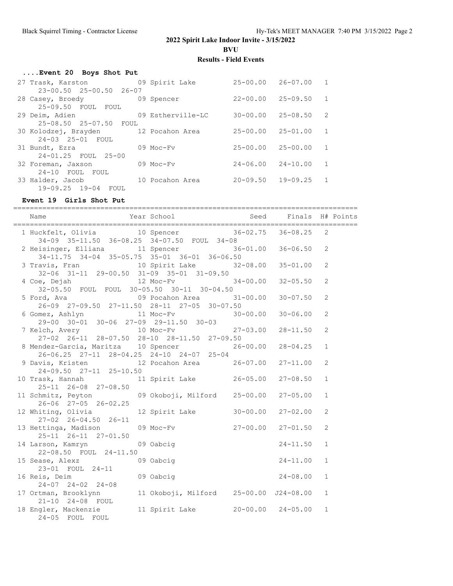**BVU**

## **Results - Field Events**

| Event 20 Boys Shot Put               |                   |                           |              |                |
|--------------------------------------|-------------------|---------------------------|--------------|----------------|
| 27 Trask, Karston 69 Spirit Lake     |                   | $25 - 00.00$ $26 - 07.00$ |              | $\sqrt{1}$     |
| 23-00.50 25-00.50 26-07              |                   |                           |              |                |
| 28 Casey, Broedy 69 Spencer          |                   | $22 - 00.00$              | 25-09.50     | $\sqrt{1}$     |
| 25-09.50 FOUL FOUL                   |                   |                           |              |                |
| 29 Deim, Adien                       | 09 Estherville-LC | 30-00.00                  | 25-08.50     | -2             |
| 25-08.50 25-07.50 FOUL               |                   |                           |              |                |
| 30 Kolodzej, Brayden 12 Pocahon Area |                   | $25 - 00.00$              | $25 - 01.00$ | $\sqrt{1}$     |
| 24-03 25-01 FOUL                     |                   |                           |              |                |
| 31 Bundt, Ezra                       | 09 Moc-Fy         | $25 - 00.00$ $25 - 00.00$ |              | -1             |
| 24-01.25 FOUL 25-00                  |                   |                           |              |                |
| 32 Foreman, Jaxson                   | 09 Moc-Fy         | $24 - 06.00$              | $24 - 10.00$ | $\mathbf{1}$   |
| 24-10 FOUL FOUL                      |                   |                           |              |                |
| 33 Halder, Jacob                     | 10 Pocahon Area   | $20 - 09.50$              | $19 - 09.25$ | $\overline{1}$ |
| 19-09.25 19-04 FOUL                  |                   |                           |              |                |

## **Event 19 Girls Shot Put**

| 2              |
|----------------|
| $\overline{2}$ |
| $\overline{c}$ |
| 2              |
| $\overline{c}$ |
| $\overline{c}$ |
| $\overline{c}$ |
| $\mathbf{1}$   |
| $\overline{c}$ |
| $\mathbf{1}$   |
| $\mathbf{1}$   |
| $\overline{c}$ |
| 2              |
| $\mathbf{1}$   |
| $\mathbf{1}$   |
| $\mathbf{1}$   |
| $\mathbf{1}$   |
| $\mathbf{1}$   |
|                |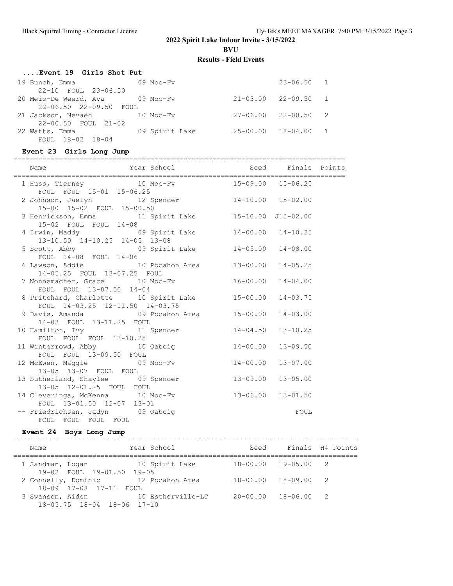**BVU**

## **Results - Field Events**

| Event 19 Girls Shot Put         |                |                             |          |
|---------------------------------|----------------|-----------------------------|----------|
| 19 Bunch, Emma                  | $09$ Moc-Fy    | $23 - 06.50$ 1              |          |
| 22-10 FOUL 23-06.50             |                |                             |          |
| 20 Meis-De Weerd, Ava 69 Moc-Fv |                | $21 - 03.00$ $22 - 09.50$ 1 |          |
| $22 - 06.50$ $22 - 09.50$ FOUL  |                |                             |          |
| 21 Jackson, Nevaeh              | 10 Moc-Fv      | $27 - 06.00$ $22 - 00.50$ 2 |          |
| $22 - 00.50$ FOUL $21 - 02$     |                |                             |          |
| 22 Watts, Emma                  | 09 Spirit Lake | $25 - 00.00$ $18 - 04.00$   | $\sim$ 1 |
| FOUL 18-02 18-04                |                |                             |          |

## **Event 23 Girls Long Jump**

| Year School Seed Finals Points<br>Name                                                                               |      |  |
|----------------------------------------------------------------------------------------------------------------------|------|--|
| 1 Huss, Tierney 10 Moc-Fv 15-09.00 15-06.25<br>FOUL FOUL 15-01 15-06.25                                              |      |  |
| 2 Johnson, Jaelyn 12 Spencer 14-10.00 15-02.00<br>15-00 15-02 FOUL 15-00.50                                          |      |  |
| 3 Henrickson, Emma 11 Spirit Lake 15-10.00 J15-02.00<br>15-02 FOUL FOUL 14-08                                        |      |  |
| 4 Irwin, Maddy 69 Spirit Lake 14-00.00 14-10.25<br>$13-10.50$ $14-10.25$ $14-05$ $13-08$                             |      |  |
| 5 Scott, Abby<br>FOUL 14-08 FOUL 14-06<br>COUL 14-08 FOUL 14-06                                                      |      |  |
| 6 Lawson, Addie 10 Pocahon Area 13-00.00 14-05.25<br>14-05.25 FOUL 13-07.25 FOUL                                     |      |  |
| 7 Nonnemacher, Grace 10 Moc-Fv 16-00.00 14-04.00<br>FOUL FOUL 13-07.50 14-04                                         |      |  |
| 8 Pritchard, Charlotte 10 Spirit Lake 15-00.00 14-03.75<br>FOUL 14-03.25 12-11.50 14-03.75                           |      |  |
| 9 Davis, Amanda 69 Pocahon Area 15-00.00 14-03.00<br>14-03 FOUL 13-11.25 FOUL                                        |      |  |
| 10 Hamilton, Ivy 11 Spencer 14-04.50 13-10.25<br>FOUL FOUL FOUL 13-10.25                                             |      |  |
| 11 Winterrowd, Abby 10 Oabcig 14-00.00 13-09.50                                                                      |      |  |
| FOUL FOUL $1\overline{3} - 09.50$ FOUL<br>12 McEwen, Maggie $09$ Moc-Fv $14-00.00$ 13-07.00<br>13-05 13-07 FOUL FOUL |      |  |
| 13 Sutherland, Shaylee 09 Spencer 13-09.00 13-05.00<br>13-05 12-01.25 FOUL FOUL                                      |      |  |
| 14 Cleveringa, McKenna 10 Moc-Fv 13-06.00 13-01.50<br>FOUL 13-01.50 12-07 13-01                                      |      |  |
| -- Friedrichsen, Jadyn 09 Oabcig<br>FOUL FOUL FOUL FOUL                                                              | FOUL |  |

## **Event 24 Boys Long Jump**

| Name                                           | Year School       | Seed                        | Finals H# Points |
|------------------------------------------------|-------------------|-----------------------------|------------------|
| 1 Sandman, Logan<br>19-02 FOUL 19-01.50 19-05  | 10 Spirit Lake    | $18 - 00.00$ $19 - 05.00$ 2 |                  |
| 2 Connelly, Dominic<br>18-09 17-08 17-11 FOUL  | 12 Pocahon Area   | $18 - 06.00$ $18 - 09.00$   | $\overline{2}$   |
| 3 Swanson, Aiden<br>18-05.75 18-04 18-06 17-10 | 10 Estherville-LC | $20 - 00.00$ $18 - 06.00$ 2 |                  |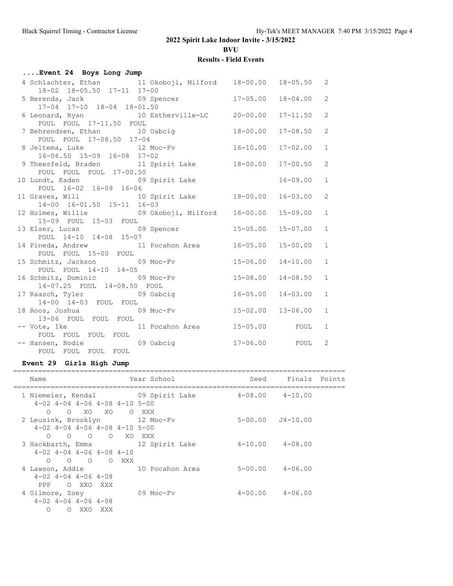**BVU**

## **Results - Field Events**

| Event 24 Boys Long Jump                                                                   |                           |                 |                |
|-------------------------------------------------------------------------------------------|---------------------------|-----------------|----------------|
| 4 Schlachter, Ethan 11 Okoboji, Milford 18-00.00 18-05.50 2<br>18-02 18-05.50 17-11 17-00 |                           |                 |                |
| 5 Berends, Jack 09 Spencer 17-05.00 18-04.00 2<br>17-04 17-10 18-04 18-01.50              |                           |                 |                |
| 6 Leonard, Ryan 10 Estherville-LC 20-00.00 17-11.50 2<br>FOUL FOUL 17-11.50 FOUL          |                           |                 |                |
| 7 Behrendsen, Ethan 10 Oabcig<br>FOUL FOUL 17-08.50 17-04                                 | $18 - 00.00$              | $17 - 08.50$    | $\overline{2}$ |
| 8 Jeltema, Luke 12 Moc-Fv 16-10.00 17-02.00<br>16-06.50 15-09 16-08 17-02                 |                           |                 | $\mathbf{1}$   |
| 9 Theesfeld, Braden 11 Spirit Lake 18-00.00 17-00.50<br>FOUL FOUL FOUL 17-00.50           |                           |                 | 2              |
| 10 Lundt, Kaden 1994 1995 1996 1997 1998 Spirit Lake<br>FOUL 16-02 16-09 16-06            |                           | $16 - 09.00$    | $\mathbf{1}$   |
| 11 Graves, Will 10 Spirit Lake 18-00.00 16-03.00<br>14-00 16-01.50 15-11 16-03            |                           |                 | 2              |
| 12 Holmes, Willie $09$ Okoboji, Milford 16-00.00 15-09.00<br>15-09 FOUL 15-03 FOUL        |                           |                 | 1              |
| 13 Elser, Lucas 09 Spencer<br>FOUL 14-10 14-08 15-07                                      | $15 - 05.00$              | $15 - 07.00$    | $\mathbf{1}$   |
| 14 Pineda, Andrew 11 Pocahon Area 16-05.00<br>FOUL FOUL 15-00 FOUL                        |                           | $15 - 00.00$    | $\mathbf{1}$   |
| 15 Schmitz, Jackson 09 Moc-Fv<br>FOUL FOUL 14-10 14-05                                    | $15 - 06.00$              | $14 - 10.00$    | $\mathbf{1}$   |
| 16 Schmitz, Dominic 09 Moc-Fv<br>14-07.25 FOUL 14-08.50 FOUL                              | $15 - 08.00$              | $14 - 08.50$    | $\mathbf{1}$   |
| 17 Raasch, Tyler 19 Oabcig<br>14-00 14-03 FOUL FOUL                                       | $16 - 05.00$ $14 - 03.00$ |                 | $\mathbf{1}$   |
| 13-06 FOUL FOUL FOUL                                                                      |                           |                 | $\mathbf{1}$   |
| -- Vote, Ike 11 Pocahon Area 15-05.00 FOUL<br>FOUL FOUL FOUL FOUL                         |                           |                 | $\mathbf{1}$   |
|                                                                                           |                           | 17-06.00 FOUL 2 |                |

## **Event 29 Girls High Jump**

| Year School<br>Seed Finals Points<br>Name<br>1 Niemeier, Kendal 69 Spirit Lake<br>$4 - 08.00$ $4 - 10.00$<br>$4-02$ $4-04$ $4-06$ $4-08$ $4-10$ $5-00$<br>O XO XO<br>$\bigcirc$<br>O XXX<br>2 Leusink, Brooklyn 12 Moc-Fv<br>$5-00.00$ $J4-10.00$<br>$4-02$ $4-04$ $4-06$ $4-08$ $4-10$ $5-00$<br>O O O XO XXX<br>$\bigcirc$<br>3 Hackbarth, Emma 12 Spirit Lake<br>$4-10.00$ $4-08.00$<br>$4-02$ $4-04$ $4-06$ $4-08$ $4-10$<br>O O O O XXX<br>$5 - 00.00$ $4 - 06.00$<br>4 Lawson, Addie 10 Pocahon Area<br>$4-02$ $4-04$ $4-06$ $4-08$<br>PPP O XXO XXX<br>$4-00.00$ $4-06.00$<br>09 Moc-Fy<br>4 Gilmore, Zoey<br>$4-02$ $4-04$ $4-06$ $4-08$ |  |  |  |
|--------------------------------------------------------------------------------------------------------------------------------------------------------------------------------------------------------------------------------------------------------------------------------------------------------------------------------------------------------------------------------------------------------------------------------------------------------------------------------------------------------------------------------------------------------------------------------------------------------------------------------------------------|--|--|--|
|                                                                                                                                                                                                                                                                                                                                                                                                                                                                                                                                                                                                                                                  |  |  |  |
|                                                                                                                                                                                                                                                                                                                                                                                                                                                                                                                                                                                                                                                  |  |  |  |
|                                                                                                                                                                                                                                                                                                                                                                                                                                                                                                                                                                                                                                                  |  |  |  |
|                                                                                                                                                                                                                                                                                                                                                                                                                                                                                                                                                                                                                                                  |  |  |  |
|                                                                                                                                                                                                                                                                                                                                                                                                                                                                                                                                                                                                                                                  |  |  |  |
| $\Omega$<br>O XXO<br>XXX                                                                                                                                                                                                                                                                                                                                                                                                                                                                                                                                                                                                                         |  |  |  |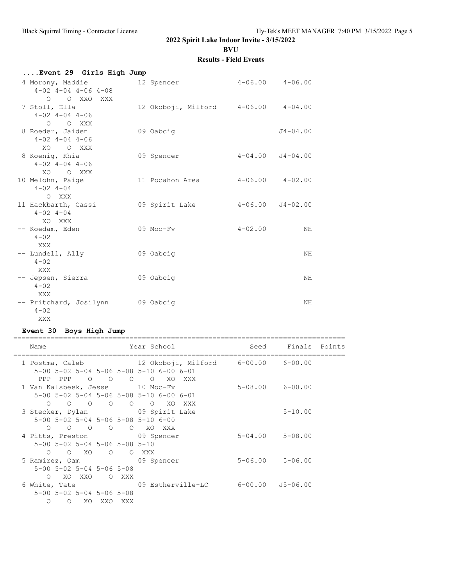**BVU**

## **Results - Field Events**

| Event 29 Girls High Jump                                  |                 |                                     |  |
|-----------------------------------------------------------|-----------------|-------------------------------------|--|
| 4 Morony, Maddie<br>$4-02$ $4-04$ $4-06$ $4-08$           | 12 Spencer      | $4 - 06.00$ $4 - 06.00$             |  |
| O OXXOXXX<br>7 Stoll, Ella<br>$4 - 02$ $4 - 04$ $4 - 06$  |                 | 12 Okoboji, Milford 4-06.00 4-04.00 |  |
| O O XXX<br>8 Roeder, Jaiden<br>$4 - 02$ $4 - 04$ $4 - 06$ | 09 Oabcig       | $J4 - 04.00$                        |  |
| XO OXXX<br>8 Koenig, Khia<br>$4 - 02$ $4 - 04$ $4 - 06$   | 09 Spencer      | $4-04.00$ $J4-04.00$                |  |
| XO<br>O XXX<br>10 Melohn, Paige<br>$4 - 02$ $4 - 04$      | 11 Pocahon Area | $4 - 06.00$ $4 - 02.00$             |  |
| O XXX<br>11 Hackbarth, Cassi<br>$4 - 02$ $4 - 04$         | 09 Spirit Lake  | $4 - 06.00$ $J4 - 02.00$            |  |
| XO XXX<br>-- Koedam, Eden<br>$4 - 02$                     | 09 Moc-Fv       | $4 - 02.00$<br>ΝH                   |  |
| XXX<br>-- Lundell, Ally<br>$4 - 02$                       | 09 Oabcig       | ΝH                                  |  |
| XXX<br>-- Jepsen, Sierra<br>$4 - 02$                      | 09 Oabcig       | NΗ                                  |  |
| XXX<br>-- Pritchard, Josilynn 09 Oabcig<br>$4 - 02$       |                 | NH                                  |  |
| XXX                                                       |                 |                                     |  |

## **Event 30 Boys High Jump**

| Name                                                    |            | Year School and the School                          | Seed Finals Points      |  |
|---------------------------------------------------------|------------|-----------------------------------------------------|-------------------------|--|
|                                                         |            | 1 Postma, Caleb 12 Okoboji, Milford 6-00.00 6-00.00 |                         |  |
|                                                         |            | 5-00 5-02 5-04 5-06 5-08 5-10 6-00 6-01             |                         |  |
|                                                         |            | PPP PPP 0 0 0 0 XO XXX                              |                         |  |
| 1 Van Kalsbeek, Jesse 10 Moc-Fv                         |            |                                                     | $5 - 08.00$ $6 - 00.00$ |  |
|                                                         |            | 5-00 5-02 5-04 5-06 5-08 5-10 6-00 6-01             |                         |  |
| $\begin{matrix} 0 & 0 & 0 & 0 & 0 & 0 & 0 \end{matrix}$ |            | XXX X                                               |                         |  |
| 3 Stecker, Dylan 69 Spirit Lake                         |            |                                                     | $5 - 10.00$             |  |
| 5-00 5-02 5-04 5-06 5-08 5-10 6-00                      |            |                                                     |                         |  |
| $\Omega$                                                |            | OOOOO XOXXX                                         |                         |  |
| 4 Pitts, Preston 09 Spencer                             |            |                                                     | $5 - 04.00$ $5 - 08.00$ |  |
| 5-00 5-02 5-04 5-06 5-08 5-10                           |            |                                                     |                         |  |
| 0 0 XO 0 0 XXX                                          |            |                                                     |                         |  |
| 5 Ramirez, Qam 69 Spencer                               |            |                                                     | $5 - 06.00$ $5 - 06.00$ |  |
| $5 - 00$ $5 - 02$ $5 - 04$ $5 - 06$ $5 - 08$            |            |                                                     |                         |  |
|                                                         |            |                                                     |                         |  |
| XO XXO<br>$\bigcap$                                     | O XXX      |                                                     |                         |  |
|                                                         |            | 6 White, Tate $09$ Estherville-LC 6-00.00 J5-06.00  |                         |  |
| $5 - 00$ $5 - 02$ $5 - 04$ $5 - 06$ $5 - 08$            |            |                                                     |                         |  |
| XO<br>$\Omega$<br>$\Omega$                              | XXO<br>XXX |                                                     |                         |  |